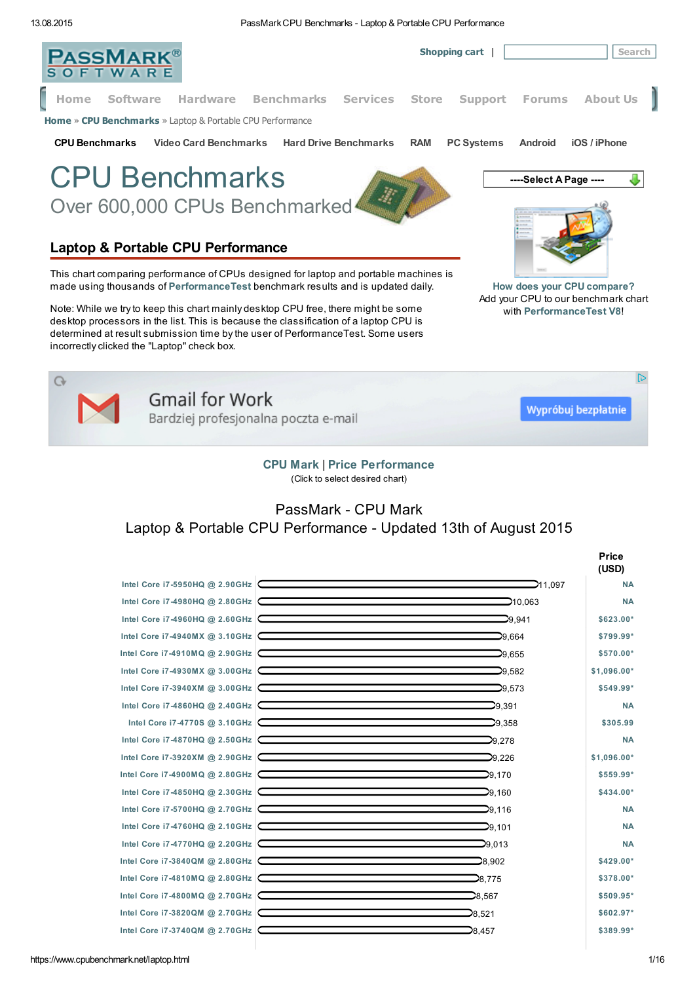13.08.2015 PassMarkCPU Benchmarks - Laptop & Portable CPU Performance



(Click to select desired chart)

## PassMark - CPU Mark Laptop & Portable CPU Performance - Updated 13th of August 2015

|                                |                                                                                                                                                                              | <b>Price</b><br>(USD) |
|--------------------------------|------------------------------------------------------------------------------------------------------------------------------------------------------------------------------|-----------------------|
| Intel Core i7-5950HQ @ 2.90GHz | <u> 1989 - Johann Stoff, Amerikaansk politiker (</u><br>211,097                                                                                                              | <b>NA</b>             |
|                                | Intel Core i7-4980HQ @ 2.80GHz<br>⊃10.063                                                                                                                                    | <b>NA</b>             |
|                                | Intel Core i7-4960HQ @ 2.60GHz<br>$\Box$ 9.941                                                                                                                               | \$623.00*             |
| Intel Core i7-4940MX @ 3.10GHz | 29.664                                                                                                                                                                       | \$799.99*             |
|                                | Intel Core i7-4910MQ @ 2.90GHz<br>$\Box$ 9.655                                                                                                                               | \$570.00*             |
|                                | Intel Core i7-4930MX @ 3.00GHz<br>$\overline{\phantom{0}}$ 9.582                                                                                                             | \$1,096.00*           |
| Intel Core i7-3940XM @ 3.00GHz | $\mathbb{D}^{9,573}$                                                                                                                                                         | \$549.99*             |
|                                | Intel Core i7-4860HQ @ 2.40GHz<br>⊃9.391                                                                                                                                     | <b>NA</b>             |
|                                | Intel Core i7-4770S @ 3.10GHz COME CONTROLLER CORPORATION CONTROL CONTROL CONTROL CONTROL CONTROLLER<br>$\mathcal{D}$ 9.358                                                  | \$305.99              |
| Intel Core i7-4870HQ @ 2.50GHz | 29,278                                                                                                                                                                       | <b>NA</b>             |
|                                | Intel Core i7-3920XM @ 2.90GHz<br>⊃9.226                                                                                                                                     | \$1,096.00*           |
|                                | Intel Core i7-4900MQ @ 2.80GHz<br>$\Box$ 9.170                                                                                                                               | \$559.99*             |
| Intel Core i7-4850HQ @ 2.30GHz | ⊇9.160                                                                                                                                                                       | \$434.00*             |
|                                | Intel Core i7-5700HQ @ 2.70GHz<br>$\sum$ 9.116                                                                                                                               | <b>NA</b>             |
|                                | Intel Core i7-4760HQ @ 2.10GHz<br>$\Box$ 9.101                                                                                                                               | <b>NA</b>             |
| Intel Core i7-4770HQ @ 2.20GHz | the contract of the contract of the contract of the contract of the contract of<br>⊃9.013<br>the contract of the contract of the contract of the contract of the contract of | <b>NA</b>             |
|                                | 28.902<br>Intel Core i7-3840QM @ 2.80GHz                                                                                                                                     | \$429.00*             |
|                                | ⊃8,775<br>Intel Core i7-4810MQ @ 2.80GHz                                                                                                                                     | \$378.00*             |
| Intel Core i7-4800MQ @ 2.70GHz | 28.567<br>the control of the control of the control of the control of the control of the control of                                                                          | \$509.95*             |
| Intel Core i7-3820QM @ 2.70GHz | 28.521                                                                                                                                                                       | \$602.97*             |
| Intel Core i7-3740QM @ 2.70GHz | ⊇8.457                                                                                                                                                                       | \$389.99*             |
|                                |                                                                                                                                                                              |                       |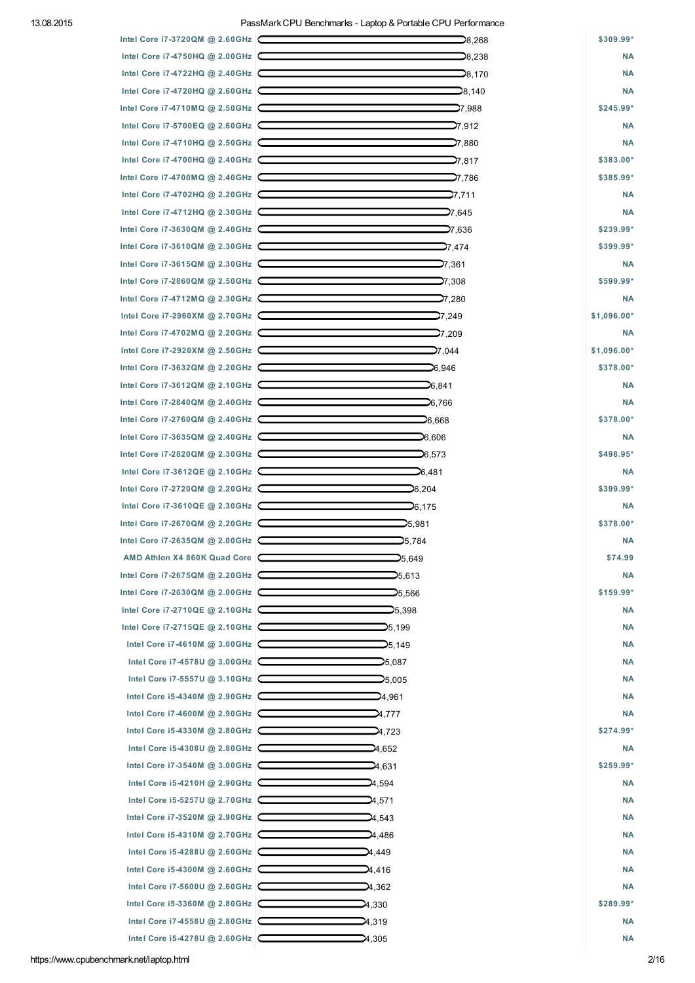|                                | 28,268                                                                                                                                                                                                                         | \$309.99*              |
|--------------------------------|--------------------------------------------------------------------------------------------------------------------------------------------------------------------------------------------------------------------------------|------------------------|
|                                | Intel Core i7-4750HQ @ 2.00GHz CONDITION CONTINUES.<br>28,238                                                                                                                                                                  | <b>NA</b>              |
|                                | $\Box$ 8.170                                                                                                                                                                                                                   | <b>NA</b>              |
|                                | Intel Core i7-4720HQ @ 2.60GHz $\Box$<br>⊇8,140                                                                                                                                                                                | <b>NA</b>              |
| Intel Core i7-4710MQ @ 2.50GHz | $\Box$ 7.988                                                                                                                                                                                                                   | \$245.99*              |
| Intel Core i7-5700EQ @ 2.60GHz |                                                                                                                                                                                                                                | <b>NA</b>              |
| Intel Core i7-4710HQ @ 2.50GHz |                                                                                                                                                                                                                                | <b>NA</b>              |
|                                | Intel Core i7-4700HQ @ 2.40GHz                                                                                                                                                                                                 | \$383.00*              |
| Intel Core i7-4700MQ @ 2.40GHz | $\sum$ 7,786                                                                                                                                                                                                                   | \$385.99*              |
|                                | Intel Core i7-4702HQ @ 2.20GHz<br>⊃7.711                                                                                                                                                                                       | <b>NA</b>              |
|                                | Intel Core i7-4712HQ @ 2.30GHz<br>⊃7,645                                                                                                                                                                                       | <b>NA</b>              |
|                                | ⊃7,636                                                                                                                                                                                                                         | \$239.99*              |
| Intel Core i7-3610QM @ 2.30GHz | <b>2</b> 7,474                                                                                                                                                                                                                 | \$399.99*              |
|                                | Intel Core i7-3615QM @ 2.30GHz<br>27,361                                                                                                                                                                                       | <b>NA</b>              |
|                                | Intel Core i7-2860QM @ 2.50GHz COME CONTEXANTLE CORPORATION OF THE CORPORATION OF THE CORPORATION OF THE CORPORATION OF THE CORPORATION OF THE CORPORATION OF THE CORPORATION OF THE CORPORATION OF THE CORPORATION OF THE COR | \$599.99*              |
| Intel Core i7-4712MQ @ 2.30GHz | 280,7⊂                                                                                                                                                                                                                         | <b>NA</b>              |
|                                | Intel Core i7-2960XM @ 2.70GHz $\sim$<br>27,249                                                                                                                                                                                | \$1,096.00*            |
|                                | Intel Core i7-4702MQ @ 2.20GHz $\sim$ 2004. The state of the state of the state of the state of the state of the state of the state of the state of the state of the state of the state of the state of the state of the state | <b>NA</b>              |
|                                | Intel Core i7-2920XM @ 2.50GHz CONDITION CONTINUES NAMES ON A 2.50 GHz                                                                                                                                                         | \$1,096.00*            |
|                                |                                                                                                                                                                                                                                |                        |
|                                |                                                                                                                                                                                                                                | \$378.00*<br><b>NA</b> |
|                                | Intel Core i7-3612QM @ 2.10GHz $\sim$ 6.841<br>Intel Core i7-2840QM @ 2.40GHz                                                                                                                                                  |                        |
|                                |                                                                                                                                                                                                                                | <b>NA</b>              |
| Intel Core i7-2760QM @ 2.40GHz | $\sim$ 6.668<br>Intel Core i7-3635QM @ 2.40GHz                                                                                                                                                                                 | \$378.00*              |
|                                |                                                                                                                                                                                                                                | <b>NA</b>              |
| Intel Core i7-2820QM @ 2.30GHz | $\Box$ 6,573                                                                                                                                                                                                                   | \$498.95*              |
| Intel Core i7-3612QE @ 2.10GHz | $\Box$ 6,481                                                                                                                                                                                                                   | <b>NA</b>              |
| Intel Core i7-2720QM @ 2.20GHz | ⊃6,204                                                                                                                                                                                                                         | \$399.99*              |
|                                | Intel Core i7-3610QE @ 2.30GHz COMPRESSION CORPORATION 0.175                                                                                                                                                                   | <b>NA</b><br>\$378.00* |
| Intel Core i7-2670QM @ 2.20GHz | ⊇5,981                                                                                                                                                                                                                         |                        |
|                                | Intel Core i7-2635QM @ 2.00GHz $\sim$ 5.784                                                                                                                                                                                    | <b>NA</b>              |
| AMD Athlon X4 860K Quad Core   | 25,649                                                                                                                                                                                                                         | \$74.99                |
| Intel Core i7-2675QM @ 2.20GHz | 25,613                                                                                                                                                                                                                         | <b>NA</b>              |
| Intel Core i7-2630QM @ 2.00GHz | 25,566                                                                                                                                                                                                                         | \$159.99*              |
| Intel Core i7-2710QE @ 2.10GHz | 25.398                                                                                                                                                                                                                         | <b>NA</b>              |
| Intel Core i7-2715QE @ 2.10GHz | 25,199                                                                                                                                                                                                                         | <b>NA</b>              |
| Intel Core i7-4610M @ 3.00GHz  | 25,149                                                                                                                                                                                                                         | <b>NA</b>              |
| Intel Core i7-4578U @ 3.00GHz  | 25,087                                                                                                                                                                                                                         | <b>NA</b>              |
| Intel Core i7-5557U @ 3.10GHz  | 25,005                                                                                                                                                                                                                         | <b>NA</b>              |
| Intel Core i5-4340M @ 2.90GHz  | 24,961                                                                                                                                                                                                                         | <b>NA</b>              |
| Intel Core i7-4600M @ 2.90GHz  | 4,777                                                                                                                                                                                                                          | <b>NA</b>              |
| Intel Core i5-4330M @ 2.80GHz  | 4,723                                                                                                                                                                                                                          | \$274.99*              |
| Intel Core i5-4308U @ 2.80GHz  | <b>24,652</b>                                                                                                                                                                                                                  | <b>NA</b>              |
| Intel Core i7-3540M @ 3.00GHz  | ⊉4,631                                                                                                                                                                                                                         | \$259.99*              |
| Intel Core i5-4210H @ 2.90GHz  | ⊇4,594                                                                                                                                                                                                                         | <b>NA</b>              |
| Intel Core i5-5257U @ 2.70GHz  | 24,571                                                                                                                                                                                                                         | <b>NA</b>              |
| Intel Core i7-3520M @ 2.90GHz  | 24,543                                                                                                                                                                                                                         | <b>NA</b>              |
| Intel Core i5-4310M @ 2.70GHz  | 24,486                                                                                                                                                                                                                         | <b>NA</b>              |
| Intel Core i5-4288U @ 2.60GHz  | 24,449                                                                                                                                                                                                                         | <b>NA</b>              |
| Intel Core i5-4300M @ 2.60GHz  | 24,416                                                                                                                                                                                                                         | <b>NA</b>              |
| Intel Core i7-5600U @ 2.60GHz  | 24,362                                                                                                                                                                                                                         | <b>NA</b>              |
| Intel Core i5-3360M @ 2.80GHz  | 24,330                                                                                                                                                                                                                         | \$289.99*              |
| Intel Core i7-4558U @ 2.80GHz  | 24,319                                                                                                                                                                                                                         | <b>NA</b>              |
| Intel Core i5-4278U @ 2.60GHz  | 4,305                                                                                                                                                                                                                          | <b>NA</b>              |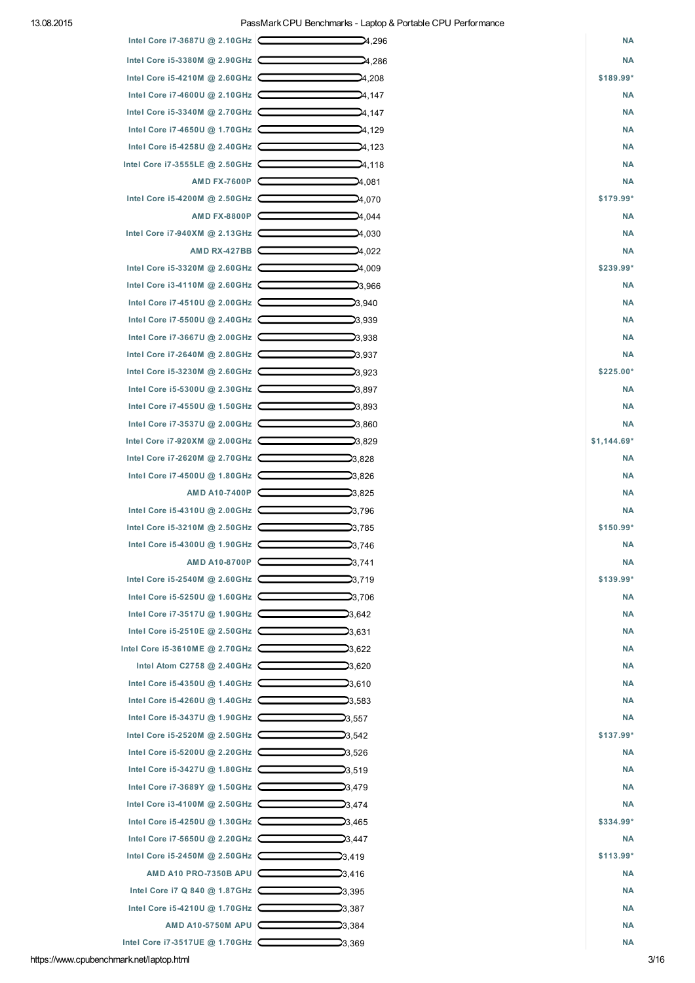## 13.08.2015 PassMarkCPU Benchmarks - Laptop & Portable CPU Performance

| Intel Core i5-3380M @ 2.90GHz<br>4,286          |              |
|-------------------------------------------------|--------------|
|                                                 | <b>NA</b>    |
| Intel Core i5-4210M @ 2.60GHz<br>4,208          | \$189.99*    |
| Intel Core i7-4600U @ 2.10GHz<br>4,147          | <b>NA</b>    |
| Intel Core i5-3340M @ 2.70GHz<br>24,147         | <b>NA</b>    |
| Intel Core i7-4650U @ 1.70GHz                   | <b>NA</b>    |
| 24,129                                          |              |
| Intel Core i5-4258U @ 2.40GHz<br>24,123         | <b>NA</b>    |
| Intel Core i7-3555LE @ 2.50GHz<br>24,118        | <b>NA</b>    |
| AMD FX-7600P<br><b>2</b> 4,081                  | <b>NA</b>    |
| Intel Core i5-4200M @ 2.50GHz<br>⊇4,070         | \$179.99*    |
| AMD FX-8800P<br>24,044                          | <b>NA</b>    |
| Intel Core i7-940XM @ 2.13GHz<br>24,030         | <b>NA</b>    |
| AMD RX-427BB<br>24,022                          | <b>NA</b>    |
| Intel Core i5-3320M @ 2.60GHz<br>⊉4,009         | \$239.99*    |
| Intel Core i3-4110M @ 2.60GHz<br>23,966         | <b>NA</b>    |
| Intel Core i7-4510U @ 2.00GHz<br>23,940         | <b>NA</b>    |
| Intel Core i7-5500U @ 2.40GHz<br>23.939         | <b>NA</b>    |
| Intel Core i7-3667U @ 2.00GHz<br>23,938         | <b>NA</b>    |
| Intel Core i7-2640M @ 2.80GHz<br>23,937         | <b>NA</b>    |
| Intel Core i5-3230M @ 2.60GHz<br>23,923         | \$225.00*    |
| Intel Core i5-5300U @ 2.30GHz<br>23,897         | <b>NA</b>    |
| Intel Core i7-4550U @ 1.50GHz<br>23,893         | <b>NA</b>    |
| Intel Core i7-3537U @ 2.00GHz<br>23,860         | <b>NA</b>    |
| Intel Core i7-920XM @ 2.00GHz<br>23,829         | $$1,144.69*$ |
| Intel Core i7-2620M @ 2.70GHz<br>23,828         | <b>NA</b>    |
| Intel Core i7-4500U @ 1.80GHz<br>23,826         | <b>NA</b>    |
| AMD A10-7400P $\Box$<br>23,825                  | <b>NA</b>    |
| Intel Core i5-4310U @ 2.00GHz<br>23,796         | <b>NA</b>    |
| Intel Core i5-3210M @ 2.50GHz<br><b>2</b> 3.785 | \$150.99*    |
| Intel Core i5-4300U @ 1.90GHz<br>23,746         | <b>NA</b>    |
| AMD A10-8700P<br>23,741                         | <b>NA</b>    |
| Intel Core i5-2540M @ 2.60GHz<br>23,719         | \$139.99*    |
| Intel Core i5-5250U @ 1.60GHz<br>23,706         | <b>NA</b>    |
| Intel Core i7-3517U @ 1.90GHz<br>23,642         | <b>NA</b>    |
| Intel Core i5-2510E @ 2.50GHz<br>23,631         | <b>NA</b>    |
| Intel Core i5-3610ME @ 2.70GHz<br>23,622        | <b>NA</b>    |
| Intel Atom C2758 @ 2.40GHz<br>⊃3.620            | <b>NA</b>    |
| Intel Core i5-4350U @ 1.40GHz<br><b>2</b> 3.610 | <b>NA</b>    |
| Intel Core i5-4260U @ 1.40GHz<br>23,583         | <b>NA</b>    |
| Intel Core i5-3437U @ 1.90GHz<br>23,557         | <b>NA</b>    |
| Intel Core i5-2520M @ 2.50GHz<br>23,542         | \$137.99*    |
| Intel Core i5-5200U @ 2.20GHz<br>23,526         | <b>NA</b>    |
| Intel Core i5-3427U @ 1.80GHz<br>23,519         | <b>NA</b>    |
| Intel Core i7-3689Y @ 1.50GHz $\Box$<br>23,479  | <b>NA</b>    |
| Intel Core i3-4100M @ 2.50GHz<br>23,474         | <b>NA</b>    |
| Intel Core i5-4250U @ 1.30GHz<br>$\Box$ 3,465   | \$334.99*    |
|                                                 | <b>NA</b>    |
| Intel Core i7-5650U @ 2.20GHz<br>23,447         | $$113.99*$   |
| Intel Core i5-2450M @ 2.50GHz<br>23,419         |              |
| AMD A10 PRO-7350B APU<br>23,416                 | <b>NA</b>    |
| Intel Core i7 Q 840 @ 1.87GHz<br>⊃3,395         | <b>NA</b>    |
| Intel Core i5-4210U @ 1.70GHz<br>23,387         | <b>NA</b>    |
| AMD A10-5750M APU<br>23,384                     | <b>NA</b>    |

https://www.cpubenchmark.net/laptop.html 3/16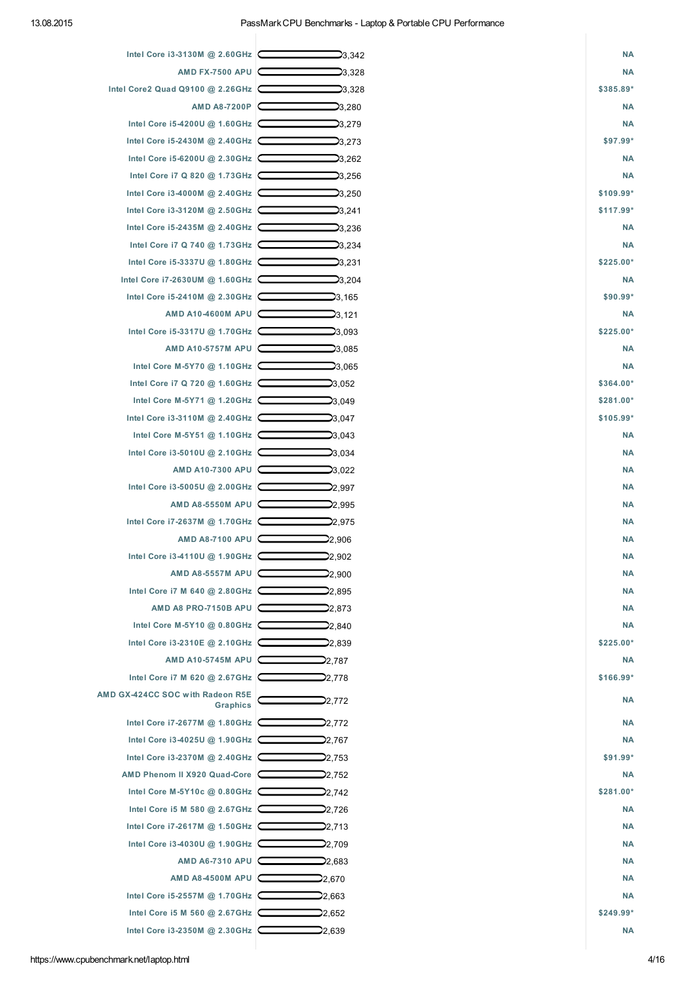| Intel Core i3-3130M @ 2.60GHz $\subset$      | 23,342         | <b>NA</b> |
|----------------------------------------------|----------------|-----------|
| AMD FX-7500 APU                              | 23,328         | <b>NA</b> |
| Intel Core2 Quad Q9100 @ 2.26GHz             | 23,328         | \$385.89* |
| AMD A8-7200P                                 | 23,280         | <b>NA</b> |
| Intel Core i5-4200U @ 1.60GHz                | 23,279         | <b>NA</b> |
| Intel Core i5-2430M @ 2.40GHz                | 23,273         | \$97.99*  |
| Intel Core i5-6200U @ 2.30GHz                | 23,262         | <b>NA</b> |
| Intel Core i7 Q 820 @ 1.73GHz                | 23,256         | <b>NA</b> |
| Intel Core i3-4000M @ 2.40GHz                | ⊃3,250         | \$109.99* |
| Intel Core i3-3120M @ 2.50GHz                | ⊇3,241         | \$117.99* |
| Intel Core i5-2435M @ 2.40GHz                | <b>2</b> 3,236 | <b>NA</b> |
| Intel Core i7 Q 740 @ 1.73GHz                | <b>2</b> 3,234 | <b>NA</b> |
| Intel Core i5-3337U @ 1.80GHz                | 23,231         | \$225.00* |
| Intel Core i7-2630UM @ 1.60GHz               | ⊃3,204         | <b>NA</b> |
| Intel Core i5-2410M @ 2.30GHz                | $\Box$ 3,165   | \$90.99*  |
| AMD A10-4600M APU                            | 23,121         | <b>NA</b> |
| Intel Core i5-3317U @ 1.70GHz                | 23,093         | \$225.00* |
| AMD A10-5757M APU                            | 23,085         | <b>NA</b> |
| Intel Core M-5Y70 @ 1.10GHz                  | ⊃3,065         | <b>NA</b> |
| Intel Core i7 Q 720 @ 1.60GHz                | <b>2</b> 3,052 | \$364.00* |
| Intel Core M-5Y71 @ 1.20GHz                  | 23,049         | \$281.00* |
| Intel Core i3-3110M @ 2.40GHz                | 23,047         | \$105.99* |
| Intel Core M-5Y51 @ 1.10GHz                  | ⊃3,043         | <b>NA</b> |
| Intel Core i3-5010U @ 2.10GHz                | ⊃3,034         | <b>NA</b> |
| AMD A10-7300 APU                             |                | <b>NA</b> |
| Intel Core i3-5005U @ 2.00GHz                | 23,022         | <b>NA</b> |
|                                              | 22,997         | <b>NA</b> |
| AMD A8-5550M APU                             | 22,995         |           |
| Intel Core i7-2637M @ 1.70GHz                | ⊇2,975         | <b>NA</b> |
| AMD A8-7100 APU                              | 22,906         | <b>NA</b> |
| Intel Core i3-4110U @ 1.90GHz                | 22,902         | <b>NA</b> |
| AMD A8-5557M APU                             | 22,900         | <b>NA</b> |
| Intel Core i7 M 640 @ 2.80 GHz               | 22,895         | <b>NA</b> |
| AMD A8 PRO-7150B APU                         | 22,873         | <b>NA</b> |
| Intel Core M-5Y10 @ 0.80GHz C                | 22,840         | <b>NA</b> |
| Intel Core i3-2310E @ 2.10GHz                | 22,839         | \$225.00* |
| AMD A10-5745M APU                            | 22,787         | <b>NA</b> |
| Intel Core i7 M 620 @ 2.67GHz                | 22,778         | \$166.99* |
| AMD GX-424CC SOC with Radeon R5E<br>Graphics | 2,772          | <b>NA</b> |
| Intel Core i7-2677M @ 1.80GHz                | 22,772         | <b>NA</b> |
| Intel Core i3-4025U @ 1.90GHz                | 22,767         | <b>NA</b> |
| Intel Core i3-2370M @ 2.40GHz                | 22,753         | \$91.99*  |
| AMD Phenom II X920 Quad-Core                 | 22,752         | <b>NA</b> |
| Intel Core M-5Y10c @ 0.80GHz                 | 22,742         | \$281.00* |
| Intel Core i5 M 580 @ 2.67GHz                | 22,726         | <b>NA</b> |
| Intel Core i7-2617M @ 1.50GHz                | 22,713         | <b>NA</b> |
| Intel Core i3-4030U @ 1.90GHz                | 22,709         | <b>NA</b> |
| AMD A6-7310 APU C                            | 22,683         | <b>NA</b> |
| AMD A8-4500M APU C                           | 22,670         | <b>NA</b> |
| Intel Core i5-2557M @ 1.70GHz                | 22,663         | <b>NA</b> |
| Intel Core i5 M 560 @ 2.67GHz                | 22,652         | \$249.99* |
| Intel Core i3-2350M @ 2.30GHz                | 22,639         | <b>NA</b> |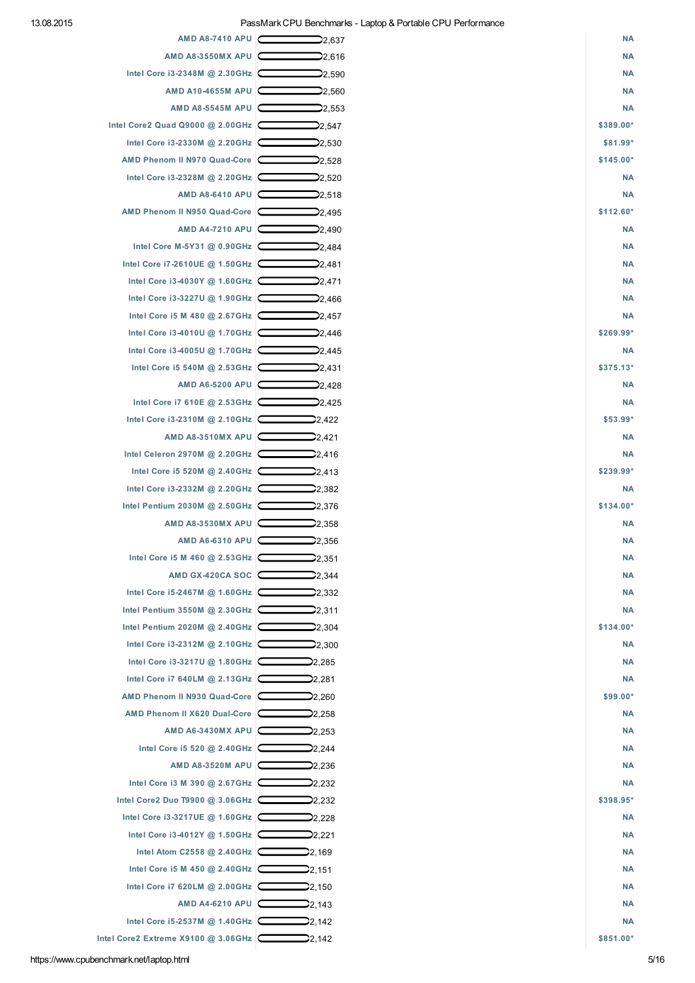| AMD A8-7410 APU C                                            | 22,637          | <b>NA</b> |
|--------------------------------------------------------------|-----------------|-----------|
| AMD A8-3550MX APU                                            | 22,616          | <b>NA</b> |
| Intel Core i3-2348M @ 2.30GHz                                | 22,590          | <b>NA</b> |
| AMD A10-4655M APU                                            | 22,560          | <b>NA</b> |
| AMD A8-5545M APU                                             | 22,553          | <b>NA</b> |
| Intel Core2 Quad Q9000 @ 2.00 GHz                            | 22,547          | \$389.00* |
| Intel Core i3-2330M @ 2.20GHz                                | 22,530          | \$81.99*  |
| AMD Phenom II N970 Quad-Core                                 | 22,528          | \$145.00* |
| Intel Core i3-2328M @ 2.20GHz C                              | 22,520          | <b>NA</b> |
| AMD A8-6410 APU                                              | 22,518          | <b>NA</b> |
| AMD Phenom II N950 Quad-Core                                 | 22,495          | \$112.60* |
| AMD A4-7210 APU                                              | <b>2</b> ,490   | <b>NA</b> |
| Intel Core M-5Y31 @ 0.90GHz                                  | ⊇2,484          | <b>NA</b> |
| Intel Core i7-2610UE @ 1.50GHz                               | 22,481          | <b>NA</b> |
| Intel Core i3-4030Y @ 1.60GHz                                | 22,471          | <b>NA</b> |
| Intel Core i3-3227U @ 1.90GHz                                | 22,466          | <b>NA</b> |
| Intel Core i5 M 480 @ 2.67GHz                                | 2,457           | <b>NA</b> |
| Intel Core i3-4010U @ 1.70GHz                                | 22,446          | \$269.99* |
| Intel Core i3-4005U @ 1.70GHz                                | 22,445          | <b>NA</b> |
| Intel Core i5 540M @ 2.53GHz                                 | 22,431          | \$375.13* |
| AMD A6-5200 APU                                              | 2,428           | <b>NA</b> |
| Intel Core i7 610E @ 2.53GHz                                 | 22,425          | <b>NA</b> |
| Intel Core i3-2310M @ 2.10GHz                                | 22,422          | \$53.99*  |
| AMD A8-3510MX APU                                            | 22,421          | <b>NA</b> |
| Intel Celeron 2970M @ 2.20GHz                                | 22,416          | <b>NA</b> |
| Intel Core i5 520M @ 2.40GHz                                 | 22,413          | \$239.99* |
| Intel Core i3-2332M @ 2.20GHz                                | 22,382          | <b>NA</b> |
| Intel Pentium 2030M @ 2.50GHz                                | 22,376          | \$134.00* |
| AMD A8-3530MX APU $\Box$                                     | 22,358          | <b>NA</b> |
| AMD A6-6310 APU                                              | 22,356          | <b>NA</b> |
| Intel Core i5 M 460 @ 2.53GHz                                | 22,351          | <b>NA</b> |
| AMD GX-420CA SOC $\boxed{\phantom{1}}$                       | 2,344           | <b>NA</b> |
| Intel Core i5-2467M @ 1.60GHz                                | 22,332          | <b>NA</b> |
| Intel Pentium 3550M @ 2.30GHz                                | 22,311          | <b>NA</b> |
| Intel Pentium 2020M @ 2.40GHz 2.304                          |                 | \$134.00* |
| Intel Core i3-2312M @ 2.10GHz                                | 2,300           | <b>NA</b> |
| Intel Core i3-3217U @ 1.80GHz                                | 22,285          | <b>NA</b> |
| Intel Core i7 640LM @ 2.13GHz                                | 2,281           | <b>NA</b> |
| AMD Phenom II N930 Quad-Core 22,260                          |                 | \$99.00*  |
| AMD Phenom II X620 Dual-Core   2,258                         |                 | <b>NA</b> |
| AMD A6-3430MX APU                                            | 22,253          | <b>NA</b> |
| Intel Core i5 520 @ 2.40GHz                                  | 22,244          | <b>NA</b> |
| AMD A8-3520M APU                                             | 2,236           | <b>NA</b> |
| Intel Core i3 M 390 @ 2.67GHz                                | 22,232          | <b>NA</b> |
| Intel Core2 Duo T9900 @ 3.06GHz 22,232                       |                 | \$398.95* |
| Intel Core i3-3217UE @ 1.60GHz                               | 22,228          | <b>NA</b> |
| Intel Core i3-4012Y @ 1.50GHz                                | ⊇2,221          | <b>NA</b> |
| Intel Atom C2558 @ 2.40GHz $\sim$ 2,169                      |                 | <b>NA</b> |
| Intel Core i5 M 450 @ 2.40GHz                                |                 | <b>NA</b> |
| Intel Core i7 620LM @ 2.00GHz                                | 2,151<br>22,150 | <b>NA</b> |
| AMD A4-6210 APU                                              | 22,143          | <b>NA</b> |
| Intel Core i5-2537M @ 1.40GHz                                |                 | <b>NA</b> |
| Intel Core2 Extreme X9100 @ 3.06GHz $\boxed{\phantom{0000}}$ | 22,142          | \$851.00* |
|                                                              |                 |           |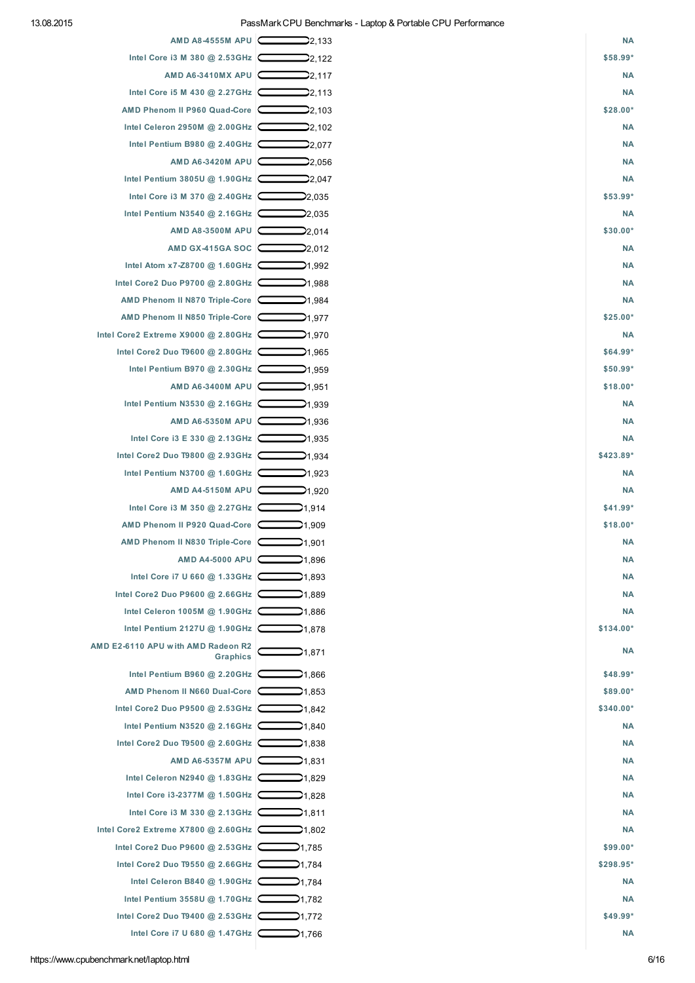| AMD A8-4555M APU  C                                           | 22,133                   | <b>NA</b> |
|---------------------------------------------------------------|--------------------------|-----------|
| Intel Core i3 M 380 @ 2.53GHz 2.122                           |                          | \$58.99*  |
| AMD A6-3410MX APU                                             | 22,117                   | <b>NA</b> |
| Intel Core i5 M 430 @ 2.27GHz                                 | <b>2</b> 2,113           | <b>NA</b> |
| AMD Phenom II P960 Quad-Core                                  | 22,103                   | \$28.00*  |
| Intel Celeron 2950M @ 2.00GHz                                 | 2,102                    | <b>NA</b> |
| Intel Pentium B980 @ 2.40GHz 2.077                            |                          | <b>NA</b> |
| AMD A6-3420M APU                                              |                          | <b>NA</b> |
| Intel Pentium 3805U @ 1.90GHz                                 | 22.047                   | <b>NA</b> |
| Intel Core i3 M 370 @ 2.40GHz                                 | 2,035                    | $$53.99*$ |
| Intel Pentium N3540 @ 2.16GHz                                 |                          | <b>NA</b> |
| AMD A8-3500M APU                                              | 2,014                    | \$30.00*  |
| AMD GX-415GA SOC                                              | 22,012                   | <b>NA</b> |
| Intel Atom x7-Z8700 @ 1.60GHz $\boxed{\phantom{0}}$ 1.992     |                          | <b>NA</b> |
| Intel Core2 Duo P9700 @ 2.80GHz                               | 21,988                   | <b>NA</b> |
| AMD Phenom II N870 Triple-Core                                | →1,984                   | <b>NA</b> |
| AMD Phenom II N850 Triple-Core                                |                          | \$25.00*  |
| Intel Core2 Extreme $X9000$ @ 2.80GHz                         | 21.970                   | <b>NA</b> |
| Intel Core2 Duo T9600 @ 2.80GHz                               | 21,965                   | $$64.99*$ |
| Intel Pentium B970 @ 2.30GHz                                  |                          | $$50.99*$ |
| AMD A6-3400M APU                                              | 21,951                   | \$18.00*  |
| Intel Pentium N3530 @ 2.16GHz                                 | 21,939                   | <b>NA</b> |
| AMD A6-5350M APU                                              | 21,936                   | <b>NA</b> |
| Intel Core i3 E 330 @ 2.13GHz                                 | $\Box$ 1,935             | <b>NA</b> |
| Intel Core2 Duo T9800 @ 2.93GHz 22222201,934                  |                          | \$423.89* |
| Intel Pentium N3700 @ 1.60GHz                                 | →1,923                   | <b>NA</b> |
| AMD A4-5150M APU                                              |                          | <b>NA</b> |
| Intel Core i3 M 350 @ 2.27GHz                                 | 21,914                   | $$41.99*$ |
| AMD Phenom II P920 Quad-Core                                  |                          | \$18.00*  |
| AMD Phenom II N830 Triple-Core   21,901                       |                          | <b>NA</b> |
| AMD A4-5000 APU                                               | $\mathbf{\supset}$ 1,896 | <b>NA</b> |
| Intel Core i7 U 660 @ 1.33GHz $\boxed{\phantom{0000}}$ 1.993  |                          | <b>NA</b> |
| Intel Core2 Duo P9600 @ 2.66GHz 2001,889                      |                          | <b>NA</b> |
| Intel Celeron 1005M @ 1.90GHz 200201.886                      |                          | <b>NA</b> |
| Intel Pentium 2127U @ 1.90GHz                                 | $\sum$ 1.878             | \$134.00* |
| AMD E2-6110 APU with AMD Radeon R2<br>Graphics                | 1,871                    | <b>NA</b> |
| Intel Pentium B960 @ 2.20GHz                                  | ⊉1,866                   | $$48.99*$ |
| AMD Phenom II N660 Dual-Core                                  | ⊉1,853                   | \$89.00*  |
|                                                               |                          | \$340.00* |
| Intel Pentium N3520 @ 2.16GHz 200201.840                      |                          | <b>NA</b> |
| Intel Core2 Duo T9500 @ 2.60GHz $\sim$ 1,838                  |                          | <b>NA</b> |
| AMD A6-5357M APU 2 1,831                                      |                          | <b>NA</b> |
| Intel Celeron N2940 @ 1.83GHz $\sim$ 1,829                    |                          | <b>NA</b> |
| Intel Core i3-2377M @ 1.50GHz 2020                            |                          | <b>NA</b> |
| Intel Core i3 M 330 @ 2.13GHz $\boxed{\phantom{0000}}$ 1,811  |                          | <b>NA</b> |
| Intel Core2 Extreme X7800 @ 2.60GHz                           |                          | <b>NA</b> |
| Intel Core2 Duo P9600 @ 2.53GHz 20021,785                     |                          | $$99.00*$ |
| Intel Core2 Duo T9550 @ 2.66GHz 20201,784                     |                          | \$298.95* |
| Intel Celeron B840 @ 1.90GHz $\boxed{\phantom{0000}}$ 1.90GHz |                          | <b>NA</b> |
| Intel Pentium 3558U @ 1.70GHz   31,782                        |                          | <b>NA</b> |
| Intel Core2 Duo T9400 @ 2.53GHz 200201,772                    |                          | $$49.99*$ |
| Intel Core i7 U 680 @ 1.47GHz $\sim$ 1,766                    |                          | <b>NA</b> |
|                                                               |                          |           |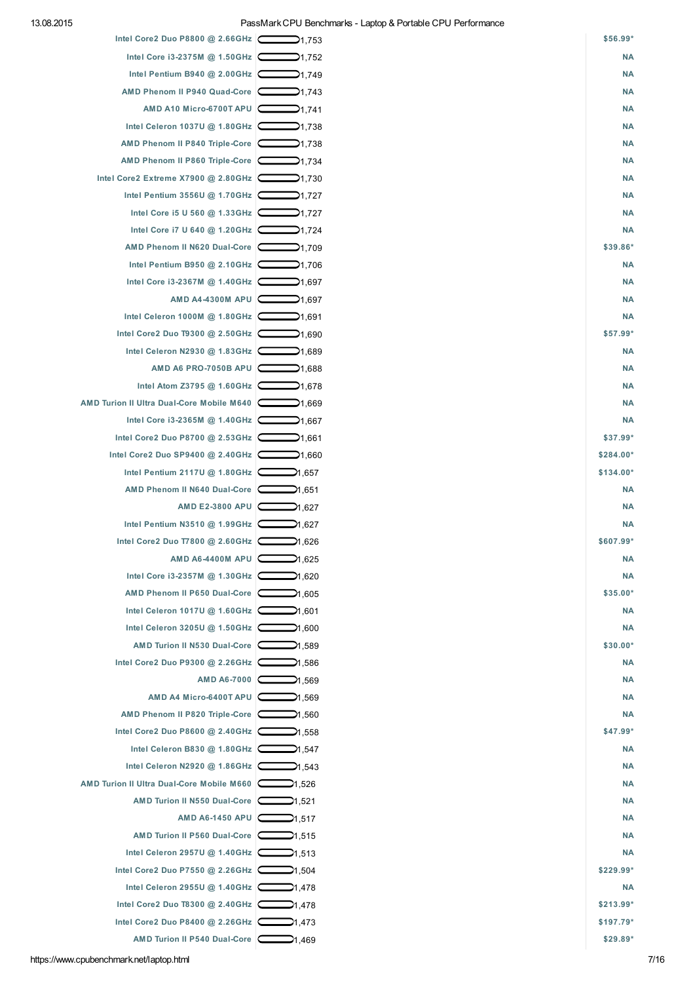| Intel Core2 Duo P8800 @ 2.66GHz           | 21,753             | \$56.99*   |
|-------------------------------------------|--------------------|------------|
| Intel Core i3-2375M @ 1.50GHz             | 21,752             | <b>NA</b>  |
| Intel Pentium B940 @ 2.00GHz              | 1,749هـ            | <b>NA</b>  |
| AMD Phenom II P940 Quad-Core              | 21,743             | <b>NA</b>  |
| AMD A10 Micro-6700T APU                   | →1,741             | <b>NA</b>  |
| Intel Celeron 1037U @ 1.80GHz             | →1,738             | <b>NA</b>  |
| AMD Phenom II P840 Triple-Core            | 21,738             | <b>NA</b>  |
| AMD Phenom II P860 Triple-Core            | 1,734ه             | <b>NA</b>  |
| Intel Core2 Extreme X7900 @ 2.80GHz       | →1,730             | <b>NA</b>  |
| Intel Pentium 3556U @ 1.70GHz 21,727      |                    | <b>NA</b>  |
| Intel Core i5 U 560 @ 1.33GHz             | →1,727             | <b>NA</b>  |
| Intel Core i7 U 640 @ 1.20GHz             | 21,724             | <b>NA</b>  |
| AMD Phenom II N620 Dual-Core              | —1.709             | \$39.86*   |
| Intel Pentium B950 @ 2.10GHz 200201,706   |                    | <b>NA</b>  |
| Intel Core i3-2367M @ 1.40GHz             | $\Box$ 1.697       | <b>NA</b>  |
| AMD A4-4300M APU                          | →1,697             | <b>NA</b>  |
| Intel Celeron 1000M @ 1.80GHz             | 1.691ھ             | <b>NA</b>  |
| Intel Core2 Duo T9300 @ 2.50GHz           | 1.690صـ            | \$57.99*   |
| Intel Celeron N2930 @ 1.83GHz             | 21,689             | <b>NA</b>  |
| AMD A6 PRO-7050B APU                      | 21,688             | <b>NA</b>  |
| Intel Atom Z3795 @ 1.60GHz                | 21,678             | <b>NA</b>  |
| AMD Turion II Ultra Dual-Core Mobile M640 | →1,669             | ΝA         |
| Intel Core i3-2365M @ 1.40GHz 21,667      |                    | <b>NA</b>  |
| Intel Core2 Duo P8700 @ 2.53GHz   1,661   |                    | \$37.99*   |
| Intel Core2 Duo SP9400 @ 2.40GHz          | 1.660م             | \$284.00*  |
| Intel Pentium 2117U @ 1.80GHz C           | 21,657             | \$134.00*  |
| AMD Phenom II N640 Dual-Core              | 651. 21            | <b>NA</b>  |
| AMD E2-3800 APU                           | 827, 21            | <b>NA</b>  |
| Intel Pentium N3510 $@$ 1.99GHz           | 827,6              | <b>NA</b>  |
| Intel Core2 Duo T7800 @ 2.60GHz           | 626, 21            | \$607.99*  |
| AMD A6-4400M APU                          | 625, 21            | <b>NA</b>  |
| Intel Core i3-2357M @ 1.30GHz 20 1,620    |                    | <b>NA</b>  |
| AMD Phenom II P650 Dual-Core              |                    | \$35.00*   |
| Intel Celeron 1017U @ 1.60GHz             | $\mathcal{M}$ ,601 | <b>NA</b>  |
| Intel Celeron 3205U @ 1.50GHz             | 1,600ھ             | <b>NA</b>  |
| AMD Turion II N530 Dual-Core              | Y1,589             | \$30.00*   |
| Intel Core2 Duo P9300 @ 2.26GHz           | 21,586             | <b>NA</b>  |
| AMD A6-7000                               | 21,569             | <b>NA</b>  |
| AMD A4 Micro-6400T APU                    | ⊉1,569             | <b>NA</b>  |
| AMD Phenom II P820 Triple-Core            | $\Box$ 1,560       | <b>NA</b>  |
| Intel Core2 Duo P8600 @ 2.40GHz           |                    | \$47.99*   |
| Intel Celeron B830 @ 1.80GHz 21,547       |                    | <b>NA</b>  |
| Intel Celeron N2920 @ 1.86GHz   343       |                    | <b>NA</b>  |
| AMD Turion II Ultra Dual-Core Mobile M660 | ⊉1,526             | <b>NA</b>  |
| AMD Turion II N550 Dual-Core              | 21,521             | <b>NA</b>  |
| AMD A6-1450 APU                           | $\Box$ 1,517       | <b>NA</b>  |
| AMD Turion II P560 Dual-Core              |                    | <b>NA</b>  |
| Intel Celeron 2957U @ 1.40GHz             | 21,513             | <b>NA</b>  |
| Intel Core2 Duo P7550 @ 2.26GHz 21,504    |                    | $$229.99*$ |
| Intel Celeron 2955U @ 1.40GHz 21,478      |                    | <b>NA</b>  |
| Intel Core2 Duo T8300 @ 2.40GHz           |                    | \$213.99*  |
| Intel Core2 Duo P8400 @ 2.26GHz           | ⊉1,473             | $$197.79*$ |
| AMD Turion II P540 Dual-Core              | 1,469ه             | \$29.89*   |
|                                           |                    |            |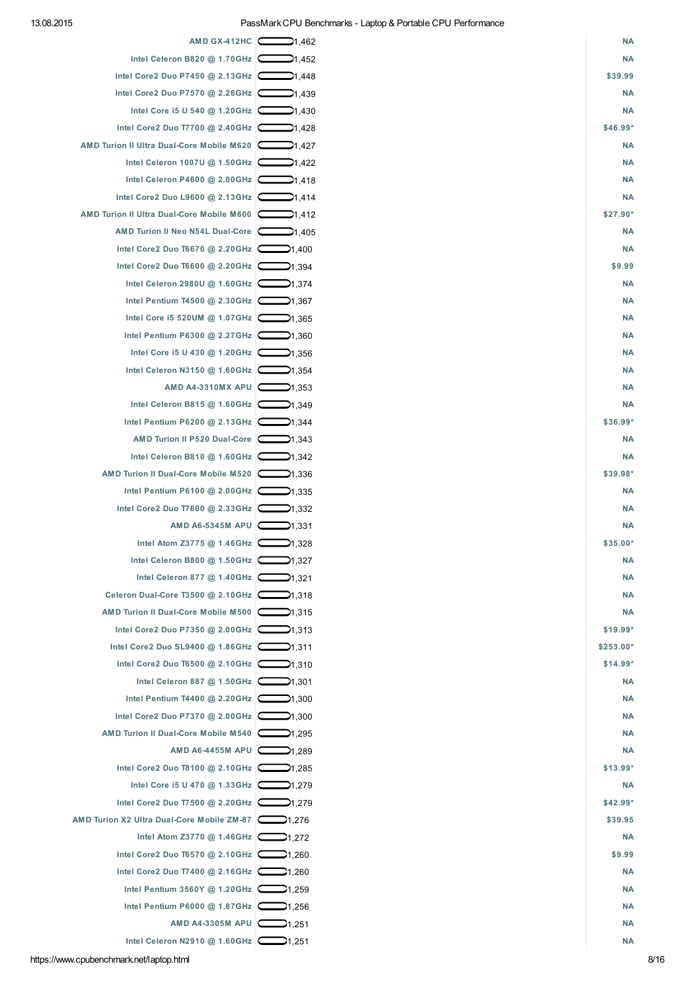| AMD GX-412HC                                               | 21.462       | <b>NA</b> |
|------------------------------------------------------------|--------------|-----------|
| Intel Celeron B820 @ 1.70GHz                               | 21,452       | <b>NA</b> |
| Intel Core2 Duo P7450 @ 2.13GHz 20201,448                  |              | \$39.99   |
| Intel Core2 Duo P7570 @ 2.26GHz                            |              | <b>NA</b> |
| Intel Core i5 U 540 @ 1.20GHz                              | 430. اپ      | <b>NA</b> |
| Intel Core2 Duo T7700 @ 2.40GHz                            | ⊉1,428       | $$46.99*$ |
| AMD Turion II Ultra Dual-Core Mobile M620                  | 427.(پ       | <b>NA</b> |
| Intel Celeron 1007U @ 1.50GHz 21,422                       |              | <b>NA</b> |
| Intel Celeron P4600 @ 2.00GHz 21,418                       |              | <b>NA</b> |
| Intel Core2 Duo L9600 @ 2.13GHz   1.414                    |              | <b>NA</b> |
| AMD Turion II Ultra Dual-Core Mobile M600                  |              | $$27.90*$ |
| AMD Turion II Neo N54L Dual-Core                           |              | <b>NA</b> |
| Intel Core2 Duo T6670 @ 2.20GHz 2001,400                   |              | <b>NA</b> |
| Intel Core2 Duo T6600 @ 2.20GHz 20091.394                  |              | \$9.99    |
| Intel Celeron 2980U @ 1.60GHz 21,374                       |              | <b>NA</b> |
| Intel Pentium T4500 @ 2.30GHz 2.30GHz                      |              | <b>NA</b> |
| Intel Core i5 520UM @ 1.07GHz 21,365                       |              | <b>NA</b> |
| Intel Pentium P6300 @ 2.27GHz 2.360                        |              | <b>NA</b> |
| Intel Core i5 U 430 @ 1.20GHz $\boxed{ }$ 1,356            |              | ΝA        |
| Intel Celeron N3150 @ 1.60GHz 21,354                       |              | <b>NA</b> |
| AMD A4-3310MX APU                                          |              | <b>NA</b> |
| Intel Celeron B815 @ 1.60GHz                               | 349. اپ      | <b>NA</b> |
| Intel Pentium P6200 @ 2.13GHz $\boxed{ }$ 1,344            |              | \$36.99*  |
| AMD Turion II P520 Dual-Core                               | 21,343       | <b>NA</b> |
| Intel Celeron B810 @ 1.60GHz 21,342                        |              | <b>NA</b> |
| AMD Turion II Dual-Core Mobile M520                        |              | $$39.98*$ |
| Intel Pentium P6100 @ 2.00GHz   1,335                      |              | ΝA        |
| Intel Core2 Duo T7600 @ 2.33GHz 1.332                      |              | ΝA        |
| AMD A6-5345M APU                                           |              | <b>NA</b> |
| Intel Atom Z3775 @ 1.46GHz $\sim$ 1,328                    |              | $$35.00*$ |
| Intel Celeron B800 @ 1.50GHz 1,327                         |              | <b>NA</b> |
| Intel Celeron 877 @ 1.40GHz 21.321                         |              | <b>NA</b> |
| Celeron Dual-Core T3500 @ 2.10GHz 2.10GHz                  |              | <b>NA</b> |
| AMD Turion II Dual-Core Mobile M500                        | →1,315       | <b>NA</b> |
| Intel Core2 Duo P7350 @ 2.00GHz 21,313                     |              | \$19.99*  |
| Intel Core2 Duo SL9400 @ 1.86GHz   1.311                   |              | \$253.00* |
| Intel Core2 Duo T6500 @ 2.10GHz 1.310                      |              | $$14.99*$ |
| Intel Celeron 887 @ 1.50GHz $\boxed{\phantom{0000}}$ 1.301 |              | <b>NA</b> |
| Intel Pentium T4400 @ 2.20GHz 2001,300                     |              | <b>NA</b> |
| Intel Core2 Duo P7370 @ 2.00GHz                            | $\Box$ 1,300 | <b>NA</b> |
| AMD Turion II Dual-Core Mobile M540                        | 295, 24      | <b>NA</b> |
| AMD A6-4455M APU                                           | 289.1⊄       | <b>NA</b> |
| Intel Core2 Duo T8100 @ 2.10GHz                            | 285. 1∕—     | $$13.99*$ |
| Intel Core i5 U 470 @ 1.33GHz $\boxed{\phantom{0}}$ 1.279  |              | <b>NA</b> |
| Intel Core2 Duo T7500 @ 2.20GHz 279                        |              | $$42.99*$ |
| AMD Turion X2 Ultra Dual-Core Mobile ZM-87  ->1,276        |              | \$39.95   |
| Intel Atom Z3770 @ 1.46GHz $\boxed{\phantom{2}1.272}$      |              | <b>NA</b> |
| Intel Core2 Duo T6570 @ 2.10GHz 260                        |              | \$9.99    |
| Intel Core2 Duo T7400 @ 2.16GHz 260                        |              | <b>NA</b> |
| Intel Pentium 3560Y @ 1.20GHz $\boxed{\phantom{0}}$ 1.259  |              | <b>NA</b> |
| Intel Pentium P6000 @ 1.87GHz 256                          |              | <b>NA</b> |
| AMD A4-3305M APU                                           | 21,251       | <b>NA</b> |

Intel Celeron N2910 @ [1.60GHz](https://www.cpubenchmark.net/cpu.php?cpu=Intel+Celeron+N2910+%40+1.60GHz&id=2093)  $\hbox{\bf \textsf{---}}$ 1,251 [NA](https://www.cpubenchmark.net/cpu.php?cpu=Intel+Celeron+N2910+%40+1.60GHz&id=2093#price)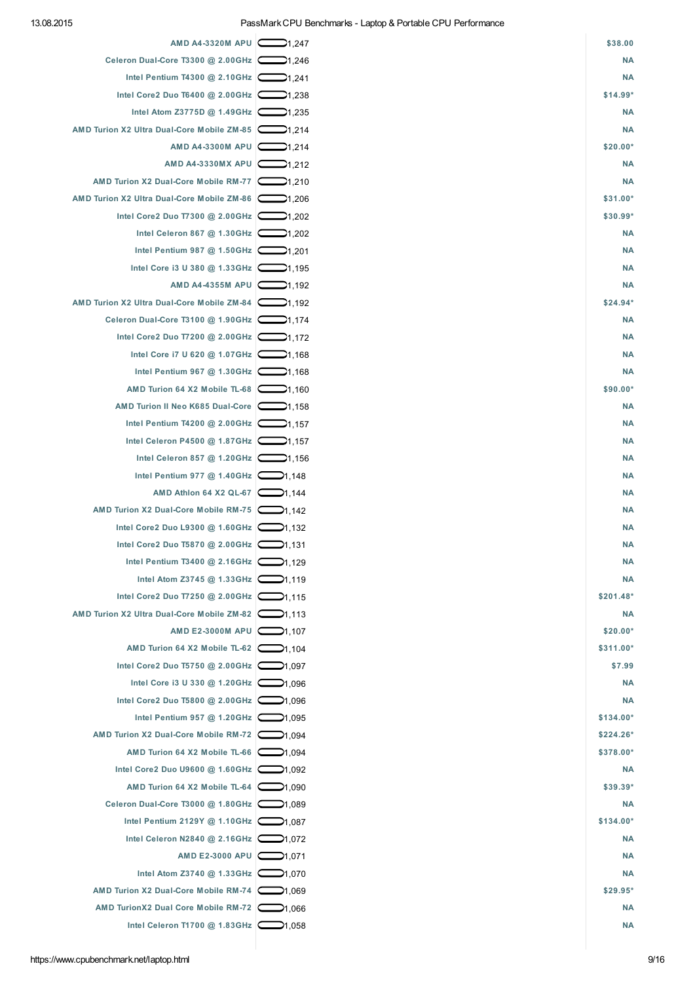| AMD A4-3320M APU   C                                      | 247, 24 | \$38.00    |
|-----------------------------------------------------------|---------|------------|
| Celeron Dual-Core T3300 @ 2.00GHz                         | 246.1ك  | <b>NA</b>  |
| Intel Pentium T4300 @ 2.10GHz $\boxed{ }$ 1,241           |         | <b>NA</b>  |
| Intel Core2 Duo T6400 @ 2.00GHz 238                       |         | $$14.99*$  |
| Intel Atom Z3775D @ 1.49GHz                               | ⊉1,235  | <b>NA</b>  |
| AMD Turion X2 Ultra Dual-Core Mobile ZM-85                | 21,214  | <b>NA</b>  |
| AMD A4-3300M APU                                          | 214. 21 | $$20.00*$  |
| AMD A4-3330MX APU 21.212                                  |         | <b>NA</b>  |
| AMD Turion X2 Dual-Core Mobile RM-77  -310                |         | <b>NA</b>  |
| AMD Turion X2 Ultra Dual-Core Mobile ZM-86                | 206.1∕ب | \$31.00*   |
| Intel Core2 Duo T7300 @ 2.00GHz 202                       |         | \$30.99*   |
| Intel Celeron 867 @ 1.30GHz 202                           |         | <b>NA</b>  |
| Intel Pentium 987 @ 1.50GHz $\boxed{\phantom{0}}$ 1.201   |         | <b>NA</b>  |
| Intel Core i3 U 380 @ 1.33GHz                             | ⊉1,195  | <b>NA</b>  |
| AMD A4-4355M APU                                          | ⊉1.192  | <b>NA</b>  |
| AMD Turion X2 Ultra Dual-Core Mobile ZM-84                |         | $$24.94*$  |
| Celeron Dual-Core T3100 @ 1.90GHz 21.174                  |         | <b>NA</b>  |
| Intel Core2 Duo T7200 @ 2.00GHz 21,172                    |         | <b>NA</b>  |
| Intel Core i7 U 620 @ 1.07GHz $\Box$ 1,168                |         | <b>NA</b>  |
| Intel Pentium 967 @ 1.30GHz $\boxed{\phantom{0}}$ 1.30GHz |         | <b>NA</b>  |
| AMD Turion 64 X2 Mobile TL-68 $\sim$ 1,160                |         | \$90.00*   |
| AMD Turion II Neo K685 Dual-Core                          |         | <b>NA</b>  |
| Intel Pentium T4200 @ 2.00GHz $\boxed{\phantom{0}}$ 1,157 |         | <b>NA</b>  |
| Intel Celeron P4500 @ 1.87GHz                             | 21,157  | <b>NA</b>  |
| Intel Celeron 857 @ 1.20GHz $\Box$ 1,156                  |         | <b>NA</b>  |
| Intel Pentium 977 @ 1.40GHz $\Box$ 1,148                  |         | <b>NA</b>  |
| AMD Athlon 64 X2 QL-67 21,144                             |         | <b>NA</b>  |
| AMD Turion X2 Dual-Core Mobile RM-75                      |         | <b>NA</b>  |
| Intel Core2 Duo L9300 @ 1.60GHz   1,132                   |         | <b>NA</b>  |
| Intel Core2 Duo T5870 @ 2.00GHz 21,131                    |         | <b>NA</b>  |
| Intel Pentium T3400 @ 2.16GHz                             | 21,129  | <b>NA</b>  |
| Intel Atom Z3745 @ 1.33GHz 21,119                         |         | <b>NA</b>  |
| Intel Core2 Duo T7250 @ 2.00GHz 21.115                    |         | \$201.48*  |
| AMD Turion X2 Ultra Dual-Core Mobile ZM-82                |         | <b>NA</b>  |
| AMD E2-3000M APU 21.107                                   |         | $$20.00*$  |
| AMD Turion 64 X2 Mobile TL-62 $\Box$ 1,104                |         | \$311.00*  |
| Intel Core2 Duo T5750 @ 2.00GHz 2.005                     |         | \$7.99     |
| Intel Core i3 U 330 @ 1.20GHz $\Box$ 1.096                |         | <b>NA</b>  |
| Intel Core2 Duo T5800 @ 2.00GHz 21,096                    |         | ΝA         |
| Intel Pentium 957 @ 1.20GHz 21.095                        |         | \$134.00*  |
| AMD Turion X2 Dual-Core Mobile RM-72 21,094               |         | $$224.26*$ |
| AMD Turion 64 X2 Mobile TL-66 $\sim$ 1.094                |         | \$378.00*  |
| Intel Core2 Duo U9600 @ 1.60GHz 21,092                    |         | ΝA         |
| AMD Turion 64 X2 Mobile TL-64 $\sim$ 1.090                |         | $$39.39*$  |
| Celeron Dual-Core T3000 @ 1.80GHz 21.089                  |         | <b>NA</b>  |
| Intel Pentium 2129Y @ 1.10GHz 21,087                      |         | \$134.00*  |
| Intel Celeron N2840 @ 2.16GHz $\Box$ 1.072                |         | <b>NA</b>  |
| AMD E2-3000 APU 21,071                                    |         | <b>NA</b>  |
| Intel Atom Z3740 @ 1.33GHz 21,070                         |         | <b>NA</b>  |
| AMD Turion X2 Dual-Core Mobile RM-74                      |         | $$29.95*$  |
| AMD TurionX2 Dual Core Mobile RM-72 21,066                |         | <b>NA</b>  |
| Intel Celeron T1700 @ 1.83GHz 21,058                      |         | <b>NA</b>  |
|                                                           |         |            |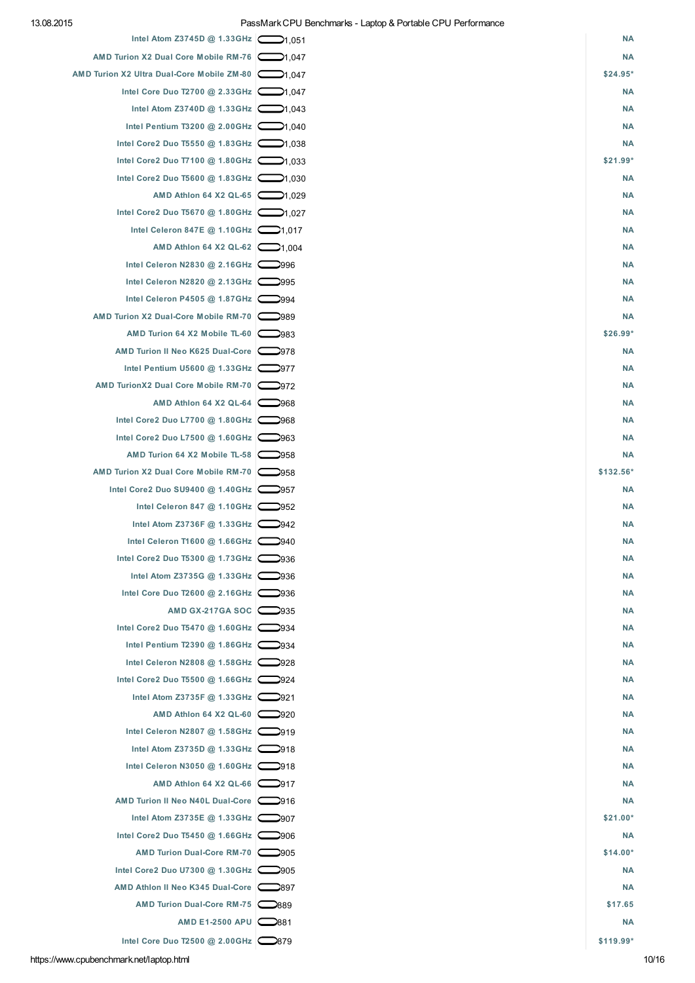| Intel Atom Z3745D @ 1.33GHz                | 051,051 | <b>NA</b> |
|--------------------------------------------|---------|-----------|
| AMD Turion X2 Dual Core Mobile RM-76       |         | <b>NA</b> |
| AMD Turion X2 Ultra Dual-Core Mobile ZM-80 |         | $$24.95*$ |
| Intel Core Duo T2700 @ 2.33GHz 21,047      |         | <b>NA</b> |
| Intel Atom Z3740D @ 1.33GHz 21,043         |         | <b>NA</b> |
| Intel Pentium T3200 @ 2.00GHz 21,040       |         | <b>NA</b> |
| Intel Core2 Duo T5550 @ 1.83GHz 21,038     |         | <b>NA</b> |
| Intel Core2 Duo T7100 @ 1.80GHz   1.033    |         | \$21.99*  |
| Intel Core2 Duo T5600 @ 1.83GHz   1.030    |         | <b>NA</b> |
| AMD Athlon 64 X2 QL-65 21.029              |         | <b>NA</b> |
| Intel Core2 Duo T5670 @ 1.80GHz 21,027     |         | <b>NA</b> |
| Intel Celeron 847E @ 1.10GHz $\Box$ 1,017  |         | <b>NA</b> |
| AMD Athlon 64 X2 QL-62 21,004              |         | <b>NA</b> |
| Intel Celeron N2830 @ 2.16GHz 2996         |         | <b>NA</b> |
| Intel Celeron N2820 @ 2.13GHz              |         | <b>NA</b> |
| Intel Celeron P4505 @ 1.87GHz 2994         |         | <b>NA</b> |
| AMD Turion X2 Dual-Core Mobile RM-70       |         | <b>NA</b> |
| AMD Turion 64 X2 Mobile TL-60 2983         |         | $$26.99*$ |
| AMD Turion II Neo K625 Dual-Core           |         | <b>NA</b> |
| Intel Pentium U5600 @ 1.33GHz 2977         |         | <b>NA</b> |
| AMD TurionX2 Dual Core Mobile RM-70 2972   |         | <b>NA</b> |
| AMD Athlon 64 X2 QL-64                     |         | <b>NA</b> |
| Intel Core2 Duo L7700 @ 1.80GHz 968        |         | <b>NA</b> |
| Intel Core2 Duo L7500 @ 1.60GHz $\sim$ 963 |         | <b>NA</b> |
| AMD Turion 64 X2 Mobile TL-58              |         | <b>NA</b> |
| AMD Turion X2 Dual Core Mobile RM-70       |         | \$132.56* |
| Intel Core2 Duo SU9400 @ 1.40GHz           |         | <b>NA</b> |
| Intel Celeron 847 @ 1.10GHz 2952           |         | <b>NA</b> |
| Intel Atom Z3736F @ 1.33GHz $\Box$ 942     |         | <b>NA</b> |
| Intel Celeron T1600 @ 1.66GHz 2940         |         | <b>NA</b> |
| Intel Core2 Duo T5300 @ 1.73GHz            |         | <b>NA</b> |
| Intel Atom Z3735G @ 1.33GHz $\bigcirc$ 936 |         | <b>NA</b> |
| Intel Core Duo T2600 @ 2.16GHz  S          |         | <b>NA</b> |
| AMD GX-217GA SOC   935                     |         | <b>NA</b> |
| Intel Core2 Duo T5470 @ 1.60GHz 2934       |         | <b>NA</b> |
| Intel Pentium T2390 @ 1.86GHz $\sim$ 934   |         | <b>NA</b> |
| Intel Celeron N2808 @ 1.58GHz 2928         |         | <b>NA</b> |
| Intel Core2 Duo T5500 @ 1.66GHz 2924       |         | <b>NA</b> |
| Intel Atom Z3735F @ 1.33GHz $\bigcirc$ 921 |         | <b>NA</b> |
| AMD Athlon 64 X2 QL-60                     |         | <b>NA</b> |
| Intel Celeron N2807 @ 1.58GHz 2919         |         | <b>NA</b> |
| Intel Atom Z3735D @ 1.33GHz $\bigcirc$ 918 |         | <b>NA</b> |
| Intel Celeron N3050 @ 1.60GHz $\Box$ 918   |         | <b>NA</b> |
| AMD Athlon 64 X2 QL-66 2917                |         | <b>NA</b> |
| AMD Turion II Neo N40L Dual-Core           |         | <b>NA</b> |
| Intel Atom Z3735E @ 1.33GHz   907          |         | $$21.00*$ |
| Intel Core2 Duo T5450 @ 1.66GHz 906        |         | <b>NA</b> |
| AMD Turion Dual-Core RM-70 2905            |         | $$14.00*$ |
| Intel Core2 Duo U7300 @ 1.30GHz 2905       |         | <b>NA</b> |
| AMD Athlon II Neo K345 Dual-Core           |         | <b>NA</b> |
| AMD Turion Dual-Core RM-75 2889            |         | \$17.65   |
| AMD E1-2500 APU 2881                       |         | <b>NA</b> |
| Intel Core Duo T2500 @ 2.00GHz 2879        |         | \$119.99* |
|                                            |         |           |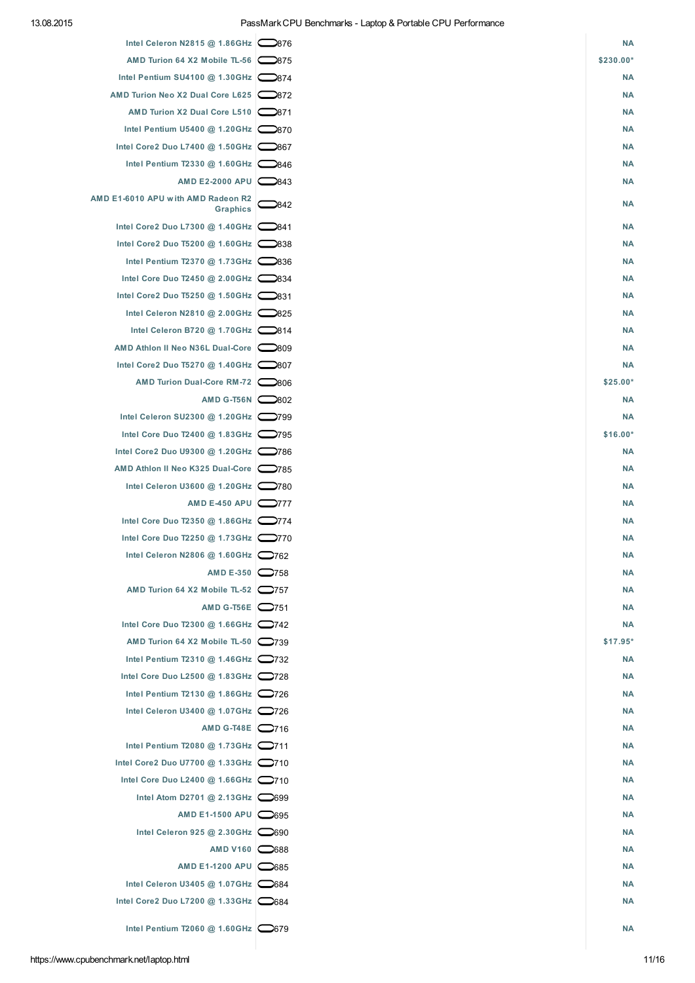| Intel Celeron N2815 @ 1.86GHz 2876           |      | <b>NA</b> |
|----------------------------------------------|------|-----------|
| AMD Turion 64 X2 Mobile TL-56 2875           |      | \$230.00* |
| Intel Pentium SU4100 @ 1.30GHz   374         |      | <b>NA</b> |
| AMD Turion Neo X2 Dual Core L625 2872        |      | <b>NA</b> |
| AMD Turion X2 Dual Core L510 2871            |      | <b>NA</b> |
| Intel Pentium U5400 @ 1.20GHz 2870           |      | <b>NA</b> |
| Intel Core2 Duo L7400 @ 1.50GHz $\sim$ 867   |      | <b>NA</b> |
| Intel Pentium T2330 @ 1.60GHz 2846           |      | <b>NA</b> |
| AMD E2-2000 APU 2843                         |      | <b>NA</b> |
| AMD E1-6010 APU with AMD Radeon R2           |      |           |
| Graphics                                     | 2842 | <b>NA</b> |
| Intel Core2 Duo L7300 @ 1.40GHz 2841         |      | <b>NA</b> |
| Intel Core2 Duo T5200 @ 1.60GHz  C838        |      | <b>NA</b> |
| Intel Pentium T2370 @ 1.73GHz 2836           |      | <b>NA</b> |
| Intel Core Duo T2450 @ 2.00GHz 2834          |      | <b>NA</b> |
| Intel Core2 Duo T5250 @ 1.50GHz 2831         |      | <b>NA</b> |
| Intel Celeron N2810 @ 2.00GHz 2825           |      | <b>NA</b> |
| Intel Celeron B720 @ 1.70GHz $\bigcirc$ 814  |      | <b>NA</b> |
| AMD Athlon II Neo N36L Dual-Core             |      | <b>NA</b> |
| Intel Core2 Duo T5270 @ 1.40GHz   307        |      | <b>NA</b> |
| AMD Turion Dual-Core RM-72 2806              |      | \$25.00*  |
|                                              |      |           |
| AMD G-T56N 2802                              |      | <b>NA</b> |
| Intel Celeron SU2300 @ 1.20GHz               |      | <b>NA</b> |
| Intel Core Duo T2400 @ 1.83GHz 2795          |      | $$16.00*$ |
| Intel Core2 Duo U9300 @ 1.20GHz  786         |      | <b>NA</b> |
| AMD Athlon II Neo K325 Dual-Core             |      | <b>NA</b> |
| Intel Celeron U3600 @ 1.20GHz  ◯780          |      | <b>NA</b> |
| AMD E-450 APU $\bigcirc$ 777                 |      | <b>NA</b> |
| Intel Core Duo T2350 @ 1.86GHz 2774          |      | <b>NA</b> |
| Intel Core Duo T2250 @ 1.73GHz 2770          |      | <b>NA</b> |
| Intel Celeron N2806 @ 1.60GHz 2762           |      | <b>NA</b> |
| AMD E-350 2758                               |      | <b>NA</b> |
| AMD Turion 64 X2 Mobile TL-52 $\bigcirc$ 757 |      | <b>NA</b> |
| AMD G-T56E 2751                              |      | <b>NA</b> |
| Intel Core Duo T2300 @ 1.66GHz   742         |      | <b>NA</b> |
| AMD Turion 64 X2 Mobile TL-50 2739           |      | $$17.95*$ |
| Intel Pentium T2310 @ 1.46GHz 2732           |      | <b>NA</b> |
| Intel Core Duo L2500 @ 1.83GHz 2728          |      | <b>NA</b> |
| Intel Pentium T2130 @ 1.86GHz 2726           |      | <b>NA</b> |
| Intel Celeron U3400 @ 1.07GHz 2726           |      | <b>NA</b> |
| AMD G-T48E 2716                              |      | <b>NA</b> |
| Intel Pentium T2080 @ 1.73GHz $\Box$ 711     |      | <b>NA</b> |
| Intel Core2 Duo U7700 @ 1.33GHz   710        |      | <b>NA</b> |
| Intel Core Duo L2400 @ 1.66GHz $\Box$ 710    |      | <b>NA</b> |
| Intel Atom D2701 @ 2.13GHz $\bigcirc$ 699    |      | <b>NA</b> |
| AMD E1-1500 APU 2695                         |      | <b>NA</b> |
| Intel Celeron 925 @ 2.30GHz $\bigcirc$ 690   |      | <b>NA</b> |
| AMD V160 $\bigcirc$ 688                      |      | <b>NA</b> |
| AMD E1-1200 APU 685                          |      | <b>NA</b> |
| Intel Celeron U3405 @ 1.07GHz   684          |      | <b>NA</b> |
| Intel Core2 Duo L7200 @ 1.33GHz   684        |      | <b>NA</b> |
|                                              |      |           |
| Intel Pentium T2060 @ 1.60GHz 2679           |      | <b>NA</b> |
|                                              |      |           |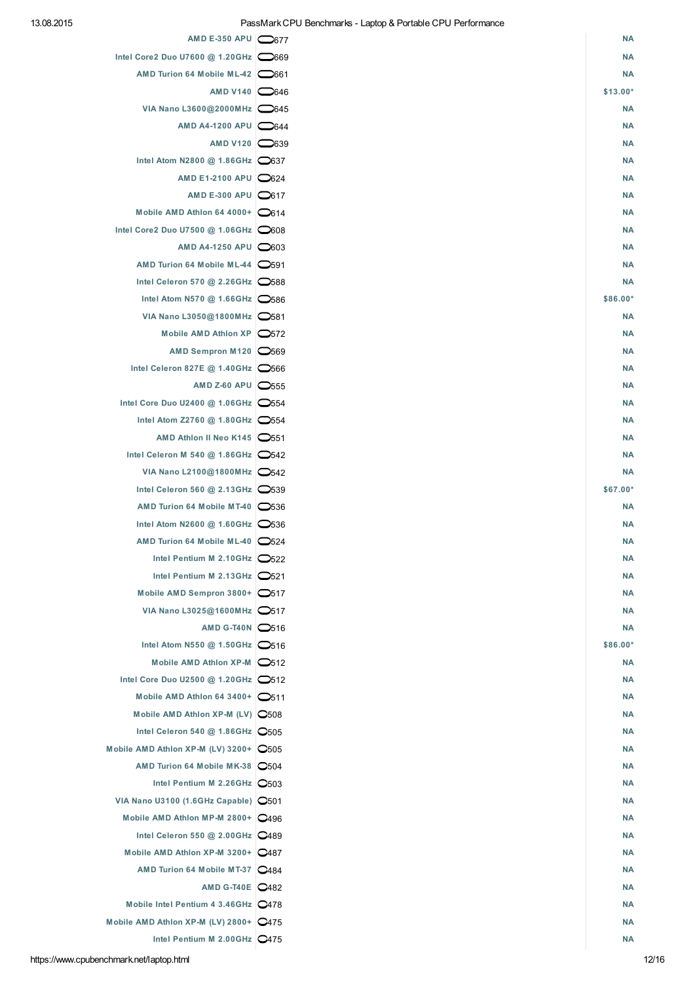| AMD E-350 APU $\bigcirc$ 677                     | <b>NA</b> |
|--------------------------------------------------|-----------|
| Intel Core2 Duo U7600 @ 1.20GHz 0669             | <b>NA</b> |
| AMD Turion 64 Mobile ML-42 661                   | <b>NA</b> |
| AMD V140 $\bigcirc$ 646                          | $$13.00*$ |
| VIA Nano L3600@2000MHz 2645                      | <b>NA</b> |
| AMD A4-1200 APU <b>644</b>                       | <b>NA</b> |
| AMD V120 39                                      | <b>NA</b> |
| Intel Atom N2800 @ 1.86GHz 0637                  | <b>NA</b> |
| AMD E1-2100 APU   624                            | <b>NA</b> |
| AMD E-300 APU 0617                               | <b>NA</b> |
| Mobile AMD Athlon 64 4000+ $\bigcirc$ 614        | <b>NA</b> |
| Intel Core2 Duo U7500 @ 1.06GHz   608            | <b>NA</b> |
| AMD A4-1250 APU 0603                             | <b>NA</b> |
| AMD Turion 64 Mobile ML-44 0591                  | <b>NA</b> |
| Intel Celeron 570 @ 2.26GHz 588                  | <b>NA</b> |
| Intel Atom N570 @ 1.66GHz $\bigcirc$ 586         | \$86.00*  |
| VIA Nano L3050@1800MHz 0581                      | <b>NA</b> |
| Mobile AMD Athlon XP   572                       | <b>NA</b> |
| AMD Sempron M120 3569                            | <b>NA</b> |
| Intel Celeron 827E @ 1.40GHz 2566                | <b>NA</b> |
| AMD Z-60 APU $\bigcirc$ 555                      | <b>NA</b> |
| Intel Core Duo U2400 @ 1.06GHz 554               | <b>NA</b> |
| Intel Atom Z2760 @ 1.80GHz $\bigcirc$ 554        | <b>NA</b> |
| AMD Athlon II Neo K145   551                     | <b>NA</b> |
| Intel Celeron M 540 @ 1.86GHz $\bigcirc$ 542     | <b>NA</b> |
| VIA Nano L2100@1800MHz 2542                      | <b>NA</b> |
| Intel Celeron 560 @ 2.13GHz $\bigcirc$ 539       | \$67.00*  |
| AMD Turion 64 Mobile MT-40 536                   | <b>NA</b> |
| Intel Atom N2600 @ 1.60GHz 0536                  | <b>NA</b> |
| AMD Turion 64 Mobile ML-40 2524                  | <b>NA</b> |
| Intel Pentium M 2.10GHz $\bigcirc$ 522           | <b>NA</b> |
| Intel Pentium M 2.13GHz $\bigcirc$ 521           | <b>NA</b> |
| Mobile AMD Sempron 3800+ 0517                    | <b>NA</b> |
| VIA Nano L3025@1600MHz   517                     | <b>NA</b> |
| AMD G-T40N C516                                  | <b>NA</b> |
| Intel Atom N550 @ 1.50GHz   516                  | \$86.00*  |
| Mobile AMD Athlon XP-M   512                     | <b>NA</b> |
| Intel Core Duo U2500 @ 1.20GHz 2512              | <b>NA</b> |
| Mobile AMD Athlon 64 3400+ $\bigcirc$ 511        | <b>NA</b> |
| Mobile AMD Athlon XP-M (LV) 0508                 | <b>NA</b> |
| Intel Celeron 540 @ 1.86GHz   0505               | <b>NA</b> |
| Mobile AMD Athlon XP-M (LV) 3200+ $\bigcirc$ 505 | <b>NA</b> |
| AMD Turion 64 Mobile MK-38 2504                  | <b>NA</b> |
| Intel Pentium M 2.26GHz 0503                     | <b>NA</b> |
| VIA Nano U3100 (1.6GHz Capable)   0501           | <b>NA</b> |
| Mobile AMD Athlon MP-M 2800+ 2496                | <b>NA</b> |
| Intel Celeron 550 @ 2.00GHz   0489               | <b>NA</b> |
| Mobile AMD Athlon XP-M 3200+ 2487                | <b>NA</b> |
| AMD Turion 64 Mobile MT-37 2484                  | <b>NA</b> |
| AMD G-T40E   2482                                | <b>NA</b> |
| Mobile Intel Pentium 4 3.46GHz 2478              | <b>NA</b> |
| Mobile AMD Athlon XP-M (LV) 2800+ $Q$ 475        | <b>NA</b> |
| Intel Pentium M 2.00GHz   0475                   | <b>NA</b> |
|                                                  |           |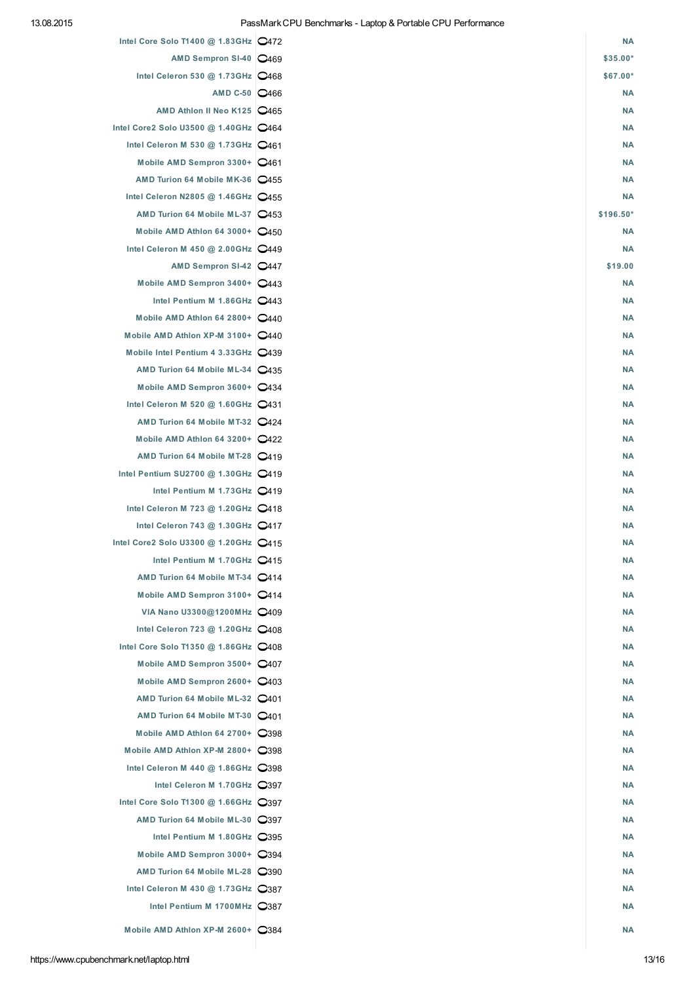| Intel Core Solo T1400 @ 1.83GHz   0472       | <b>NA</b> |
|----------------------------------------------|-----------|
| AMD Sempron SI-40 2469                       | $$35.00*$ |
| Intel Celeron 530 @ 1.73GHz   0468           | \$67.00*  |
| AMD C-50 2466                                | <b>NA</b> |
| AMD Athlon II Neo K125   0465                | <b>NA</b> |
| Intel Core2 Solo U3500 @ 1.40GHz   0464      | <b>NA</b> |
| Intel Celeron M 530 @ 1.73GHz   0461         | <b>NA</b> |
| Mobile AMD Sempron 3300+ 2461                | <b>NA</b> |
| AMD Turion 64 Mobile MK-36   455             | <b>NA</b> |
| Intel Celeron N2805 @ 1.46GHz   2455         | <b>NA</b> |
| AMD Turion 64 Mobile ML-37 2453              | \$196.50* |
| Mobile AMD Athlon 64 3000+ $Q$ 450           | <b>NA</b> |
| Intel Celeron M 450 @ 2.00GHz 2449           | <b>NA</b> |
| AMD Sempron SI-42 2447                       | \$19.00   |
| Mobile AMD Sempron 3400+ 2443                | <b>NA</b> |
| Intel Pentium M 1.86GHz   0443               | <b>NA</b> |
| Mobile AMD Athlon 64 2800+   0440            | <b>NA</b> |
| Mobile AMD Athlon XP-M 3100+ 2440            | <b>NA</b> |
| Mobile Intel Pentium 4 3.33GHz 2439          | <b>NA</b> |
| AMD Turion 64 Mobile ML-34 2435              | <b>NA</b> |
| Mobile AMD Sempron 3600+ 2434                | <b>NA</b> |
| Intel Celeron M 520 @ 1.60GHz $Q$ 431        | <b>NA</b> |
| AMD Turion 64 Mobile MT-32 2424              | <b>NA</b> |
| Mobile AMD Athlon 64 3200+   2422            | <b>NA</b> |
| AMD Turion 64 Mobile MT-28 2419              | <b>NA</b> |
| Intel Pentium SU2700 @ 1.30GHz   2419        | <b>NA</b> |
| Intel Pentium M 1.73GHz   0419               | <b>NA</b> |
| Intel Celeron M 723 @ 1.20GHz   0418         | <b>NA</b> |
| Intel Celeron 743 @ 1.30GHz   0417           | <b>NA</b> |
| Intel Core2 Solo U3300 @ 1.20GHz   0415      | <b>NA</b> |
| Intel Pentium M 1.70GHz   0415               | <b>NA</b> |
| AMD Turion 64 Mobile MT-34 2414              | <b>NA</b> |
| Mobile AMD Sempron 3100+ 2414                | <b>NA</b> |
| VIA Nano U3300@1200MHz   0409                | <b>NA</b> |
| Intel Celeron 723 @ 1.20GHz 2408             | <b>NA</b> |
| Intel Core Solo T1350 @ 1.86GHz   0408       | <b>NA</b> |
| Mobile AMD Sempron 3500+ 2407                | <b>NA</b> |
| Mobile AMD Sempron 2600+ 2403                | <b>NA</b> |
| AMD Turion 64 Mobile ML-32   2401            | <b>NA</b> |
| AMD Turion 64 Mobile MT-30   2401            | <b>NA</b> |
| Mobile AMD Athlon 64 2700+ 2398              | <b>NA</b> |
| Mobile AMD Athlon XP-M 2800+   398           | <b>NA</b> |
| Intel Celeron M 440 @ 1.86GHz $\bigcirc$ 398 | <b>NA</b> |
| Intel Celeron M 1.70GHz   397                | <b>NA</b> |
| Intel Core Solo T1300 @ 1.66GHz   397        | <b>NA</b> |
| AMD Turion 64 Mobile ML-30 2397              | <b>NA</b> |
| Intel Pentium M 1.80GHz   395                | <b>NA</b> |
| Mobile AMD Sempron 3000+ 2394                | <b>NA</b> |
| AMD Turion 64 Mobile ML-28 2390              | <b>NA</b> |
| Intel Celeron M 430 @ 1.73GHz $\bigcirc$ 387 | <b>NA</b> |
| Intel Pentium M 1700MHz 2387                 | <b>NA</b> |
|                                              |           |
| Mobile AMD Athlon XP-M 2600+ 2384            | <b>NA</b> |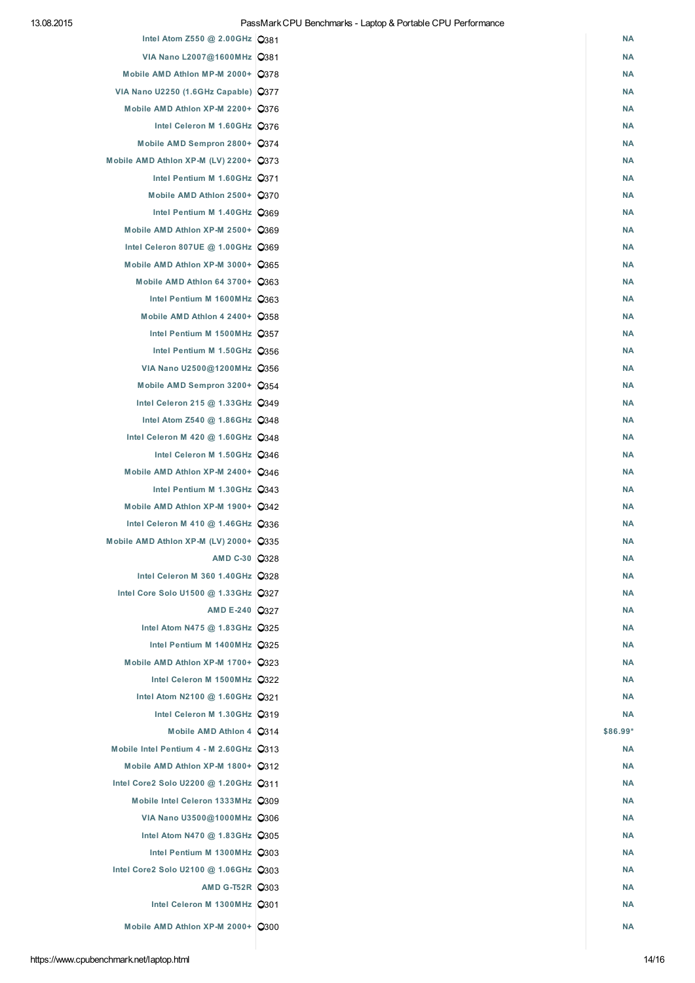| Intel Atom Z550 @ 2.00GHz C381                                    | <b>NA</b>              |
|-------------------------------------------------------------------|------------------------|
| VIA Nano L2007@1600MHz   C381                                     | <b>NA</b>              |
| Mobile AMD Athlon MP-M 2000+ 2378                                 | <b>NA</b>              |
| VIA Nano U2250 (1.6GHz Capable)   0377                            | <b>NA</b>              |
| Mobile AMD Athlon XP-M 2200+ 2376                                 | <b>NA</b>              |
| Intel Celeron M 1.60GHz Q376                                      | <b>NA</b>              |
| Mobile AMD Sempron 2800+ 2374                                     | <b>NA</b>              |
| Mobile AMD Athlon XP-M (LV) 2200+ Q373                            | <b>NA</b>              |
| Intel Pentium M 1.60GHz Q371                                      | <b>NA</b>              |
| Mobile AMD Athlon 2500+ 0370                                      | <b>NA</b>              |
| Intel Pentium M 1.40GHz Q369                                      | <b>NA</b>              |
| Mobile AMD Athlon XP-M 2500+ 2369                                 | <b>NA</b>              |
| Intel Celeron 807UE @ 1.00GHz C369                                | <b>NA</b>              |
| Mobile AMD Athlon XP-M 3000+ Q365                                 | <b>NA</b>              |
| Mobile AMD Athlon 64 3700+ Q363                                   | <b>NA</b>              |
| Intel Pentium M 1600MHz Q363                                      | <b>NA</b>              |
| Mobile AMD Athlon 4 2400+ 0358                                    | <b>NA</b>              |
| Intel Pentium M 1500MHz Q357                                      | <b>NA</b>              |
| Intel Pentium M 1.50GHz Q356                                      | <b>NA</b>              |
| VIA Nano U2500@1200MHz   2356                                     | <b>NA</b>              |
| Mobile AMD Sempron 3200+ Q354                                     | <b>NA</b>              |
| Intel Celeron 215 @ 1.33GHz   Q349                                | <b>NA</b>              |
| Intel Atom Z540 @ 1.86GHz 2348                                    | <b>NA</b>              |
| Intel Celeron M 420 @ 1.60GHz   C348                              | <b>NA</b>              |
| Intel Celeron M 1.50GHz Q346                                      | <b>NA</b>              |
| Mobile AMD Athlon XP-M 2400+ 2346                                 | <b>NA</b>              |
|                                                                   |                        |
| Intel Pentium M 1.30GHz Q343<br>Mobile AMD Athlon XP-M 1900+ 0342 | <b>NA</b><br><b>NA</b> |
|                                                                   |                        |
| Intel Celeron M 410 @ 1.46GHz C336                                | <b>NA</b>              |
| Mobile AMD Athlon XP-M (LV) 2000+ Q335                            | <b>NA</b>              |
| AMD C-30 2328                                                     | <b>NA</b>              |
| Intel Celeron M 360 1.40GHz 2328                                  | <b>NA</b>              |
| Intel Core Solo U1500 @ 1.33GHz   0327                            | <b>NA</b>              |
| AMD E-240 2327                                                    | <b>NA</b>              |
| Intel Atom N475 @ 1.83GHz   Q325                                  | <b>NA</b>              |
| Intel Pentium M 1400MHz Q325                                      | <b>NA</b>              |
| Mobile AMD Athlon XP-M 1700+ 2323                                 | <b>NA</b>              |
| Intel Celeron M 1500MHz Q322                                      | <b>NA</b>              |
| Intel Atom N2100 @ 1.60GHz   C321                                 | <b>NA</b>              |
| Intel Celeron M 1.30GHz   Q319                                    | <b>NA</b>              |
| Mobile AMD Athlon 4   Q314                                        | \$86.99*               |
| Mobile Intel Pentium 4 - M 2.60GHz Q313                           | <b>NA</b>              |
| Mobile AMD Athlon XP-M 1800+ Q312                                 | <b>NA</b>              |
| Intel Core2 Solo U2200 @ 1.20GHz   Q311                           | <b>NA</b>              |
| Mobile Intel Celeron 1333MHz Q309                                 | <b>NA</b>              |
| VIA Nano U3500@1000MHz   0306                                     | <b>NA</b>              |
| Intel Atom N470 @ 1.83GHz C305                                    | <b>NA</b>              |
| Intel Pentium M 1300MHz Q303                                      | <b>NA</b>              |
| Intel Core2 Solo U2100 @ 1.06GHz   Q303                           | <b>NA</b>              |
| AMD G-T52R 2303                                                   | <b>NA</b>              |
| Intel Celeron M 1300MHz Q301                                      | <b>NA</b>              |
| Mobile AMD Athlon XP-M 2000+ 2300                                 | <b>NA</b>              |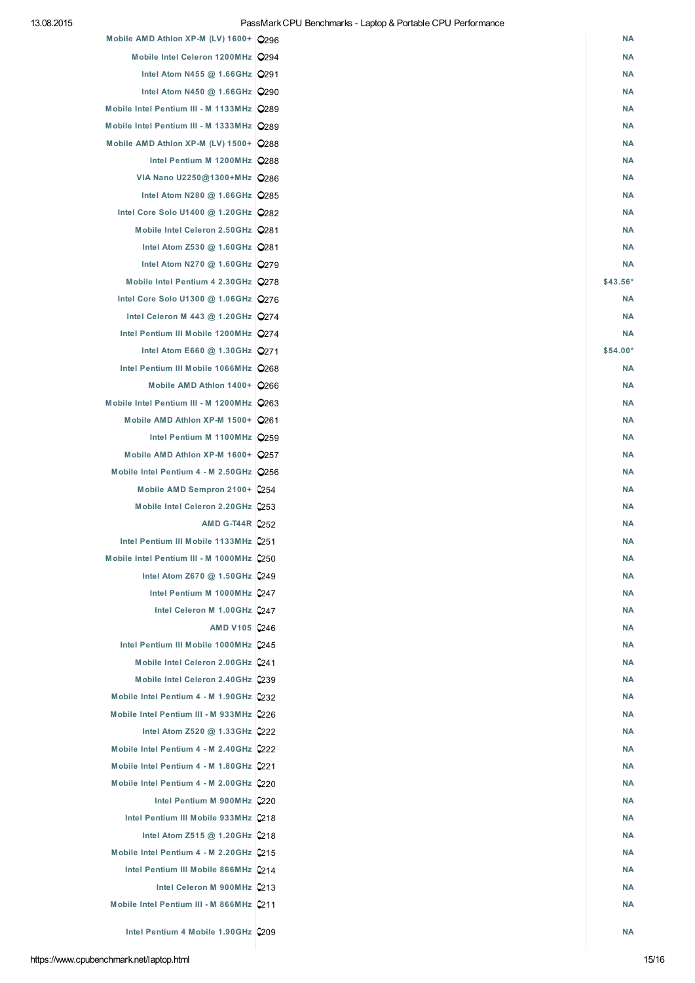| Mobile AMD Athlon XP-M (LV) 1600+ 296     | <b>NA</b> |
|-------------------------------------------|-----------|
| Mobile Intel Celeron 1200MHz Q294         | <b>NA</b> |
| Intel Atom N455 @ 1.66GHz   Q291          | <b>NA</b> |
| Intel Atom N450 @ 1.66GHz 2290            | <b>NA</b> |
| Mobile Intel Pentium III - M 1133MHz Q289 | <b>NA</b> |
| Mobile Intel Pentium III - M 1333MHz Q289 | <b>NA</b> |
| Mobile AMD Athlon XP-M (LV) 1500+ Q288    | <b>NA</b> |
| Intel Pentium M 1200MHz 2288              | <b>NA</b> |
| VIA Nano U2250@1300+MHz 2286              | <b>NA</b> |
| Intel Atom N280 @ 1.66GHz   2285          | <b>NA</b> |
| Intel Core Solo U1400 @ 1.20GHz   282     | <b>NA</b> |
| Mobile Intel Celeron 2.50GHz Q281         | <b>NA</b> |
| Intel Atom Z530 @ 1.60GHz   Q281          | <b>NA</b> |
| Intel Atom N270 @ 1.60GHz 2279            | <b>NA</b> |
| Mobile Intel Pentium 4 2.30GHz   278      | $$43.56*$ |
| Intel Core Solo U1300 @ 1.06GHz   Q276    | <b>NA</b> |
| Intel Celeron M 443 @ 1.20GHz Q274        | <b>NA</b> |
| Intel Pentium III Mobile 1200MHz Q274     | <b>NA</b> |
| Intel Atom E660 @ 1.30GHz   Q271          | \$54.00*  |
| Intel Pentium III Mobile 1066MHz Q268     | <b>NA</b> |
| Mobile AMD Athlon 1400+   266             | <b>NA</b> |
|                                           | <b>NA</b> |
| Mobile Intel Pentium III - M 1200MHz Q263 | <b>NA</b> |
| Mobile AMD Athlon XP-M 1500+ Q261         |           |
| Intel Pentium M 1100MHz 259               | <b>NA</b> |
| Mobile AMD Athlon XP-M 1600+ Q257         | <b>NA</b> |
| Mobile Intel Pentium 4 - M 2.50GHz   Q256 | <b>NA</b> |
| Mobile AMD Sempron 2100+ 254              | <b>NA</b> |
| Mobile Intel Celeron 2.20GHz 253          | <b>NA</b> |
| AMD G-T44R 2252                           | <b>NA</b> |
| Intel Pentium III Mobile 1133MHz 2251     | <b>NA</b> |
| Mobile Intel Pentium III - M 1000MHz 250  | <b>NA</b> |
| Intel Atom Z670 @ 1.50GHz 2249            | <b>NA</b> |
| Intel Pentium M 1000MHz 2247              | <b>NA</b> |
| Intel Celeron M 1.00GHz 2247              | <b>NA</b> |
| AMD V105 2246                             | <b>NA</b> |
| Intel Pentium III Mobile 1000MHz 2245     | <b>NA</b> |
| Mobile Intel Celeron 2.00GHz 241          | <b>NA</b> |
| Mobile Intel Celeron 2.40GHz 239          | <b>NA</b> |
| Mobile Intel Pentium 4 - M 1.90GHz 2232   | <b>NA</b> |
| Mobile Intel Pentium III - M 933MHz 226   | <b>NA</b> |
| Intel Atom Z520 @ 1.33GHz 2222            | <b>NA</b> |
| Mobile Intel Pentium 4 - M 2.40GHz 2222   | <b>NA</b> |
| Mobile Intel Pentium 4 - M 1.80GHz 221    | <b>NA</b> |
| Mobile Intel Pentium 4 - M 2.00GHz 220    | <b>NA</b> |
| Intel Pentium M 900MHz 220                | <b>NA</b> |
| Intel Pentium III Mobile 933MHz 2218      | <b>NA</b> |
| Intel Atom Z515 @ 1.20GHz 218             | <b>NA</b> |
| Mobile Intel Pentium 4 - M 2.20GHz 215    | <b>NA</b> |
| Intel Pentium III Mobile 866MHz 2214      | <b>NA</b> |
| Intel Celeron M 900MHz 2213               | <b>NA</b> |
| Mobile Intel Pentium III - M 866MHz 211   | <b>NA</b> |
| Intel Pentium 4 Mobile 1.90GHz 209        | <b>NA</b> |
|                                           |           |